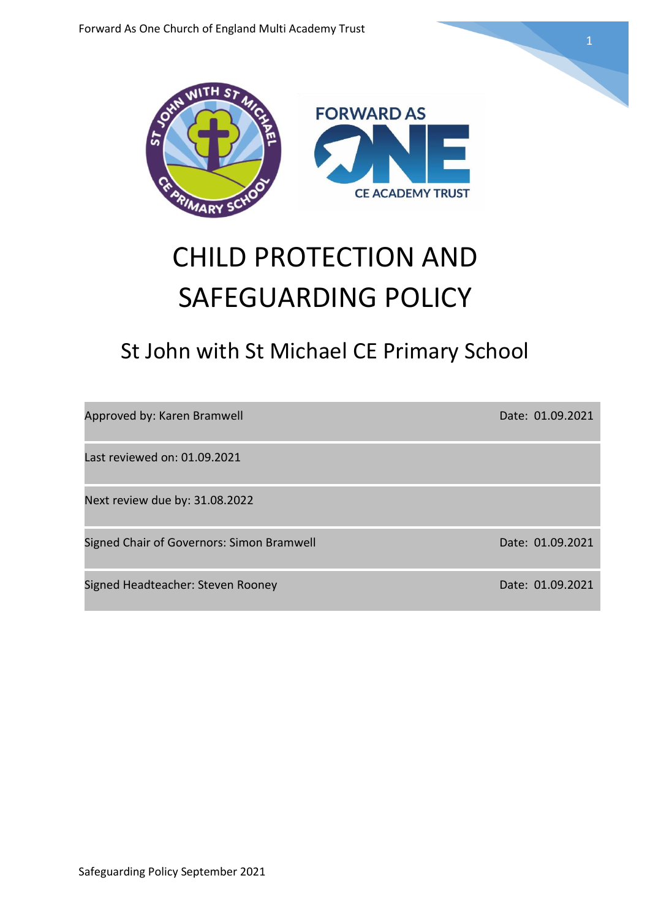

# CHILD PROTECTION AND SAFEGUARDING POLICY

## St John with St Michael CE Primary School

| Approved by: Karen Bramwell               | Date: 01.09.2021 |
|-------------------------------------------|------------------|
| Last reviewed on: 01.09.2021              |                  |
| Next review due by: 31.08.2022            |                  |
| Signed Chair of Governors: Simon Bramwell | Date: 01.09.2021 |
| Signed Headteacher: Steven Rooney         | Date: 01.09.2021 |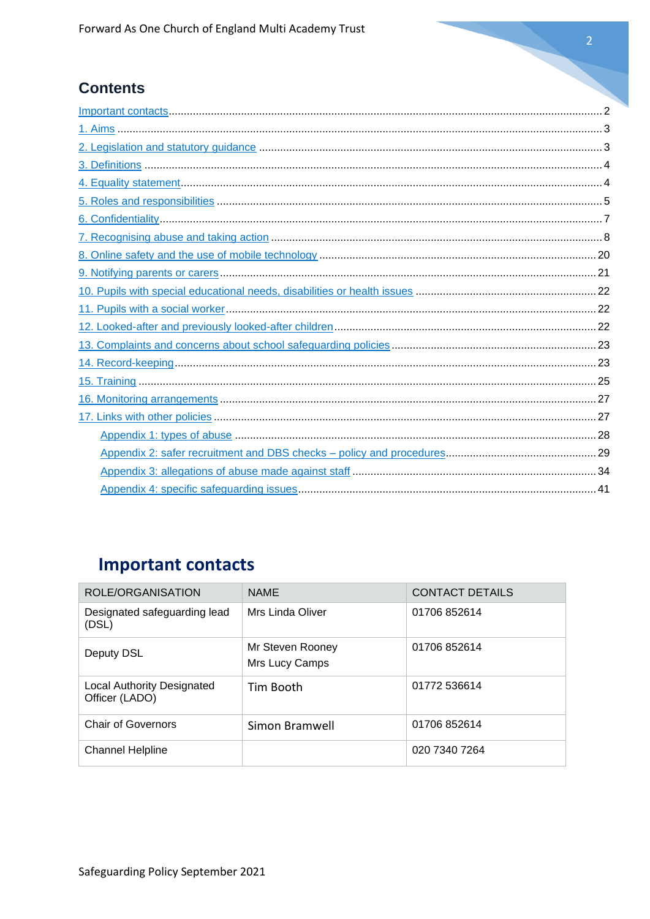## **Contents**

## <span id="page-1-0"></span>**Important contacts**

| ROLE/ORGANISATION                                   | <b>NAME</b>                        | <b>CONTACT DETAILS</b> |
|-----------------------------------------------------|------------------------------------|------------------------|
| Designated safeguarding lead<br>(DSL)               | Mrs Linda Oliver                   | 01706 852614           |
| Deputy DSL                                          | Mr Steven Rooney<br>Mrs Lucy Camps | 01706 852614           |
| <b>Local Authority Designated</b><br>Officer (LADO) | Tim Booth                          | 01772 536614           |
| <b>Chair of Governors</b>                           | Simon Bramwell                     | 01706 852614           |
| Channel Helpline                                    |                                    | 020 7340 7264          |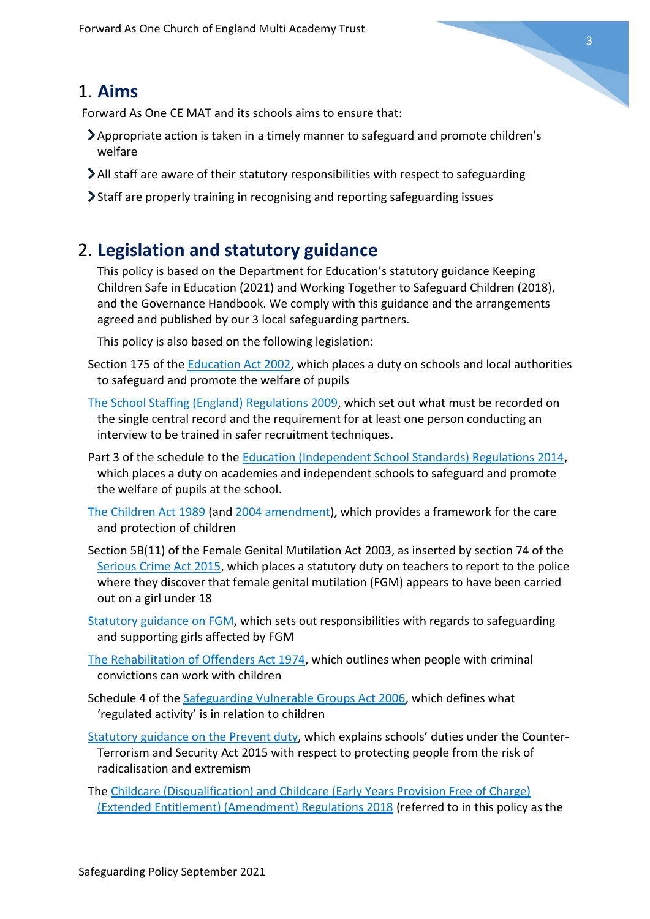## 1. **Aims**

Forward As One CE MAT and its schools aims to ensure that:

- Appropriate action is taken in a timely manner to safeguard and promote children's welfare
- All staff are aware of their statutory responsibilities with respect to safeguarding

Staff are properly training in recognising and reporting safeguarding issues

## 2. **Legislation and statutory guidance**

This policy is based on the Department for Education's statutory guidance Keeping Children Safe in Education (2021) and Working Together to Safeguard Children (2018), and the Governance Handbook. We comply with this guidance and the arrangements agreed and published by our 3 local safeguarding partners.

This policy is also based on the following legislation:

- Section 175 of the [Education Act 2002,](http://www.legislation.gov.uk/ukpga/2002/32/section/175) which places a duty on schools and local authorities to safeguard and promote the welfare of pupils
- [The School Staffing \(England\) Regulations 2009,](http://www.legislation.gov.uk/uksi/2009/2680/contents/made) which set out what must be recorded on the single central record and the requirement for at least one person conducting an interview to be trained in safer recruitment techniques.
- Part 3 of the schedule to the [Education \(Independent School Standards\) Regulations 2014,](http://www.legislation.gov.uk/uksi/2014/3283/schedule/part/3/made) which places a duty on academies and independent schools to safeguard and promote the welfare of pupils at the school.
- [The Children Act 1989](http://www.legislation.gov.uk/ukpga/1989/41) (an[d 2004 amendment\)](http://www.legislation.gov.uk/ukpga/2004/31/contents), which provides a framework for the care and protection of children
- Section 5B(11) of the Female Genital Mutilation Act 2003, as inserted by section 74 of the [Serious Crime Act 2015,](http://www.legislation.gov.uk/ukpga/2015/9/part/5/crossheading/female-genital-mutilation) which places a statutory duty on teachers to report to the police where they discover that female genital mutilation (FGM) appears to have been carried out on a girl under 18
- [Statutory guidance on FGM,](https://www.gov.uk/government/publications/multi-agency-statutory-guidance-on-female-genital-mutilation) which sets out responsibilities with regards to safeguarding and supporting girls affected by FGM
- [The Rehabilitation of Offenders Act 1974,](http://www.legislation.gov.uk/ukpga/1974/53) which outlines when people with criminal convictions can work with children
- Schedule 4 of the [Safeguarding Vulnerable Groups Act 2006,](http://www.legislation.gov.uk/ukpga/2006/47/schedule/4) which defines what 'regulated activity' is in relation to children
- [Statutory guidance on the Prevent duty](https://www.gov.uk/government/publications/prevent-duty-guidance), which explains schools' duties under the Counter-Terrorism and Security Act 2015 with respect to protecting people from the risk of radicalisation and extremism

The [Childcare \(Disqualification\) and Childcare \(Early Years Provision Free of Charge\)](http://www.legislation.gov.uk/uksi/2018/794/contents/made)  [\(Extended Entitlement\) \(Amendment\) Regulations 2018](http://www.legislation.gov.uk/uksi/2018/794/contents/made) (referred to in this policy as the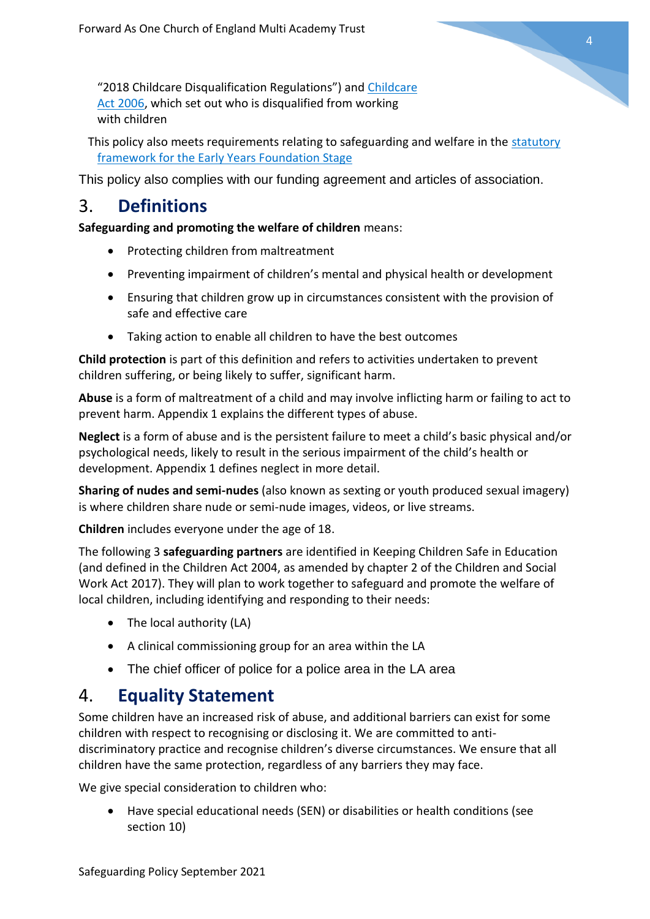"2018 Childcare Disqualification Regulations") and [Childcare](http://www.legislation.gov.uk/ukpga/2006/21/contents)  [Act 2006,](http://www.legislation.gov.uk/ukpga/2006/21/contents) which set out who is disqualified from working with children

This policy also meets requirements relating to safeguarding and welfare in the statutory [framework for the Early Years Foundation Stage](https://www.gov.uk/government/publications/early-years-foundation-stage-framework--2)

This policy also complies with our funding agreement and articles of association.

## 3. **Definitions**

**Safeguarding and promoting the welfare of children** means:

- Protecting children from maltreatment
- Preventing impairment of children's mental and physical health or development
- Ensuring that children grow up in circumstances consistent with the provision of safe and effective care
- Taking action to enable all children to have the best outcomes

**Child protection** is part of this definition and refers to activities undertaken to prevent children suffering, or being likely to suffer, significant harm.

**Abuse** is a form of maltreatment of a child and may involve inflicting harm or failing to act to prevent harm. Appendix 1 explains the different types of abuse.

**Neglect** is a form of abuse and is the persistent failure to meet a child's basic physical and/or psychological needs, likely to result in the serious impairment of the child's health or development. Appendix 1 defines neglect in more detail.

**Sharing of nudes and semi-nudes** (also known as sexting or youth produced sexual imagery) is where children share nude or semi-nude images, videos, or live streams.

**Children** includes everyone under the age of 18.

The following 3 **safeguarding partners** are identified in Keeping Children Safe in Education (and defined in the Children Act 2004, as amended by chapter 2 of the Children and Social Work Act 2017). They will plan to work together to safeguard and promote the welfare of local children, including identifying and responding to their needs:

- The local authority (LA)
- A clinical commissioning group for an area within the LA
- The chief officer of police for a police area in the LA area

## 4. **Equality Statement**

Some children have an increased risk of abuse, and additional barriers can exist for some children with respect to recognising or disclosing it. We are committed to antidiscriminatory practice and recognise children's diverse circumstances. We ensure that all children have the same protection, regardless of any barriers they may face.

We give special consideration to children who:

• Have special educational needs (SEN) or disabilities or health conditions (see section 10)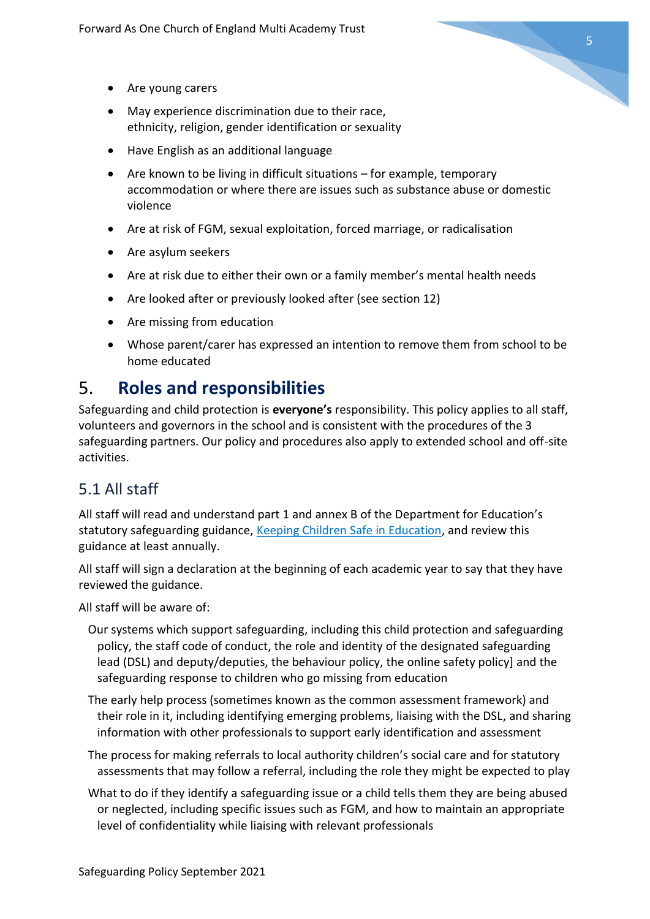- Are young carers
- May experience discrimination due to their race, ethnicity, religion, gender identification or sexuality
- Have English as an additional language
- Are known to be living in difficult situations for example, temporary accommodation or where there are issues such as substance abuse or domestic violence
- Are at risk of FGM, sexual exploitation, forced marriage, or radicalisation
- Are asylum seekers
- Are at risk due to either their own or a family member's mental health needs
- Are looked after or previously looked after (see section 12)
- Are missing from education
- Whose parent/carer has expressed an intention to remove them from school to be home educated

## 5. **Roles and responsibilities**

Safeguarding and child protection is **everyone's** responsibility. This policy applies to all staff, volunteers and governors in the school and is consistent with the procedures of the 3 safeguarding partners. Our policy and procedures also apply to extended school and off-site activities.

## 5.1 All staff

All staff will read and understand part 1 and annex B of the Department for Education's statutory safeguarding guidance, [Keeping Children Safe in Education,](https://www.gov.uk/government/publications/keeping-children-safe-in-education--2) and review this guidance at least annually.

All staff will sign a declaration at the beginning of each academic year to say that they have reviewed the guidance.

All staff will be aware of:

- Our systems which support safeguarding, including this child protection and safeguarding policy, the staff code of conduct, the role and identity of the designated safeguarding lead (DSL) and deputy/deputies, the behaviour policy, the online safety policy] and the safeguarding response to children who go missing from education
- The early help process (sometimes known as the common assessment framework) and their role in it, including identifying emerging problems, liaising with the DSL, and sharing information with other professionals to support early identification and assessment
- The process for making referrals to local authority children's social care and for statutory assessments that may follow a referral, including the role they might be expected to play
- What to do if they identify a safeguarding issue or a child tells them they are being abused or neglected, including specific issues such as FGM, and how to maintain an appropriate level of confidentiality while liaising with relevant professionals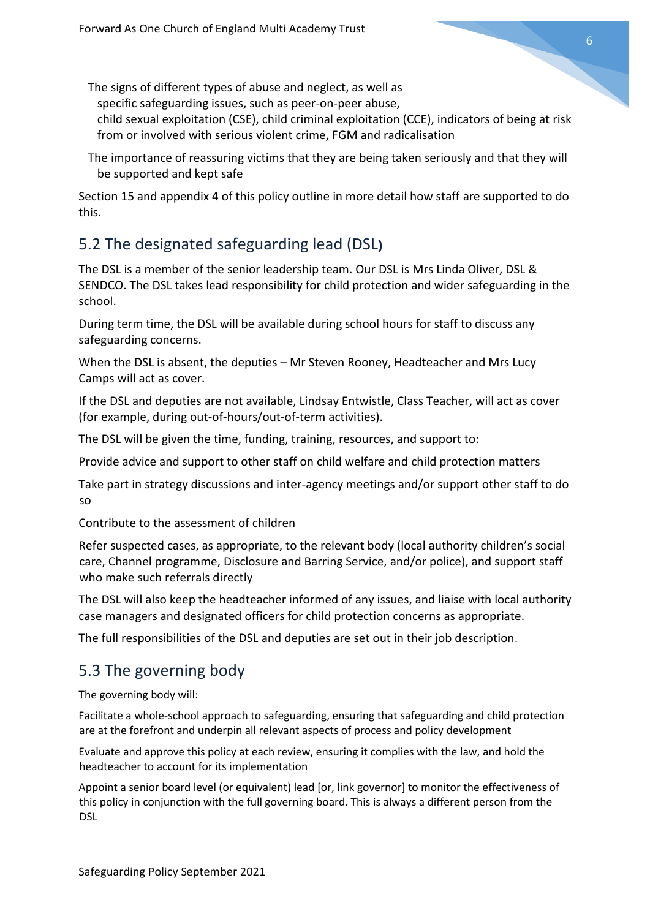The importance of reassuring victims that they are being taken seriously and that they will be supported and kept safe

Section 15 and appendix 4 of this policy outline in more detail how staff are supported to do this.

## 5.2 The designated safeguarding lead (DSL**)**

The DSL is a member of the senior leadership team. Our DSL is Mrs Linda Oliver, DSL & SENDCO. The DSL takes lead responsibility for child protection and wider safeguarding in the school.

During term time, the DSL will be available during school hours for staff to discuss any safeguarding concerns.

When the DSL is absent, the deputies – Mr Steven Rooney, Headteacher and Mrs Lucy Camps will act as cover.

If the DSL and deputies are not available, Lindsay Entwistle, Class Teacher, will act as cover (for example, during out-of-hours/out-of-term activities).

The DSL will be given the time, funding, training, resources, and support to:

Provide advice and support to other staff on child welfare and child protection matters

Take part in strategy discussions and inter-agency meetings and/or support other staff to do so

Contribute to the assessment of children

Refer suspected cases, as appropriate, to the relevant body (local authority children's social care, Channel programme, Disclosure and Barring Service, and/or police), and support staff who make such referrals directly

The DSL will also keep the headteacher informed of any issues, and liaise with local authority case managers and designated officers for child protection concerns as appropriate.

The full responsibilities of the DSL and deputies are set out in their job description.

## 5.3 The governing body

The governing body will:

Facilitate a whole-school approach to safeguarding, ensuring that safeguarding and child protection are at the forefront and underpin all relevant aspects of process and policy development

Evaluate and approve this policy at each review, ensuring it complies with the law, and hold the headteacher to account for its implementation

Appoint a senior board level (or equivalent) lead [or, link governor] to monitor the effectiveness of this policy in conjunction with the full governing board. This is always a different person from the DSL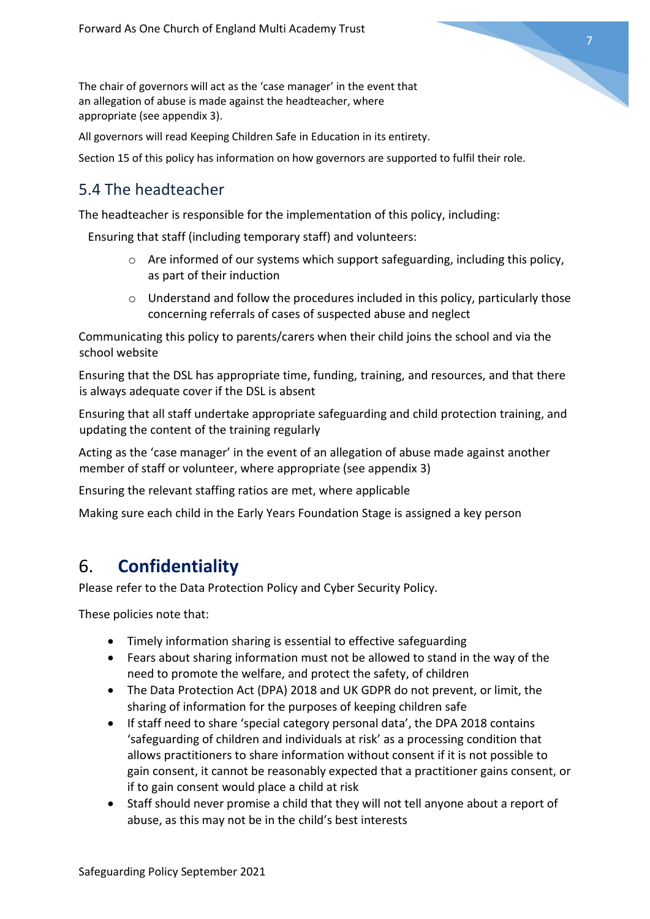The chair of governors will act as the 'case manager' in the event that an allegation of abuse is made against the headteacher, where appropriate (see appendix 3).

All governors will read Keeping Children Safe in Education in its entirety.

Section 15 of this policy has information on how governors are supported to fulfil their role.

## 5.4 The headteacher

The headteacher is responsible for the implementation of this policy, including:

Ensuring that staff (including temporary staff) and volunteers:

o Are informed of our systems which support safeguarding, including this policy, as part of their induction

7

 $\circ$  Understand and follow the procedures included in this policy, particularly those concerning referrals of cases of suspected abuse and neglect

Communicating this policy to parents/carers when their child joins the school and via the school website

Ensuring that the DSL has appropriate time, funding, training, and resources, and that there is always adequate cover if the DSL is absent

Ensuring that all staff undertake appropriate safeguarding and child protection training, and updating the content of the training regularly

Acting as the 'case manager' in the event of an allegation of abuse made against another member of staff or volunteer, where appropriate (see appendix 3)

Ensuring the relevant staffing ratios are met, where applicable

Making sure each child in the Early Years Foundation Stage is assigned a key person

## 6. **Confidentiality**

Please refer to the Data Protection Policy and Cyber Security Policy.

These policies note that:

- Timely information sharing is essential to effective safeguarding
- Fears about sharing information must not be allowed to stand in the way of the need to promote the welfare, and protect the safety, of children
- The Data Protection Act (DPA) 2018 and UK GDPR do not prevent, or limit, the sharing of information for the purposes of keeping children safe
- If staff need to share 'special category personal data', the DPA 2018 contains 'safeguarding of children and individuals at risk' as a processing condition that allows practitioners to share information without consent if it is not possible to gain consent, it cannot be reasonably expected that a practitioner gains consent, or if to gain consent would place a child at risk
- Staff should never promise a child that they will not tell anyone about a report of abuse, as this may not be in the child's best interests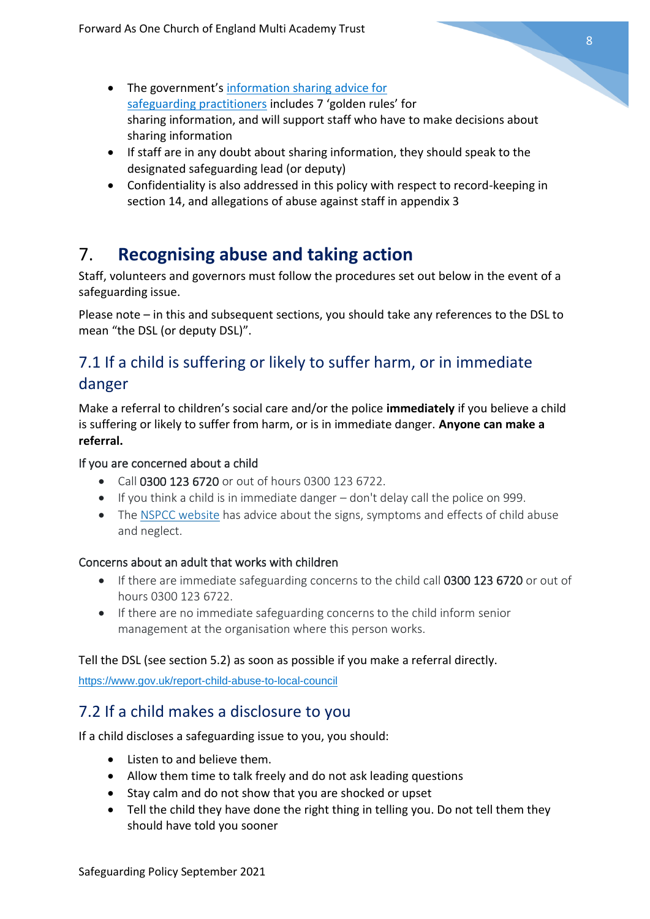- The government's [information sharing advice for](https://www.gov.uk/government/publications/safeguarding-practitioners-information-sharing-advice)  [safeguarding practitioners](https://www.gov.uk/government/publications/safeguarding-practitioners-information-sharing-advice) includes 7 'golden rules' for sharing information, and will support staff who have to make decisions about sharing information
- If staff are in any doubt about sharing information, they should speak to the designated safeguarding lead (or deputy)
- Confidentiality is also addressed in this policy with respect to record-keeping in section 14, and allegations of abuse against staff in appendix 3

## 7. **Recognising abuse and taking action**

Staff, volunteers and governors must follow the procedures set out below in the event of a safeguarding issue.

Please note – in this and subsequent sections, you should take any references to the DSL to mean "the DSL (or deputy DSL)".

## 7.1 If a child is suffering or likely to suffer harm, or in immediate danger

Make a referral to children's social care and/or the police **immediately** if you believe a child is suffering or likely to suffer from harm, or is in immediate danger. **Anyone can make a referral.**

## If you are concerned about a child

- Call 0300 123 6720 or out of hours 0300 123 6722.
- If you think a child is in immediate danger don't delay call the police on 999.
- The [NSPCC website](https://www.nspcc.org.uk/preventing-abuse/signs-symptoms-effects/) has advice about the signs, symptoms and effects of child abuse and neglect.

## Concerns about an adult that works with children

- If there are immediate safeguarding concerns to the child call 0300 123 6720 or out of hours 0300 123 6722.
- If there are no immediate safeguarding concerns to the child inform senior management at the organisation where this person works.

## Tell the DSL (see section 5.2) as soon as possible if you make a referral directly.

<https://www.gov.uk/report-child-abuse-to-local-council>

## 7.2 If a child makes a disclosure to you

If a child discloses a safeguarding issue to you, you should:

- Listen to and believe them.
- Allow them time to talk freely and do not ask leading questions
- Stay calm and do not show that you are shocked or upset
- Tell the child they have done the right thing in telling you. Do not tell them they should have told you sooner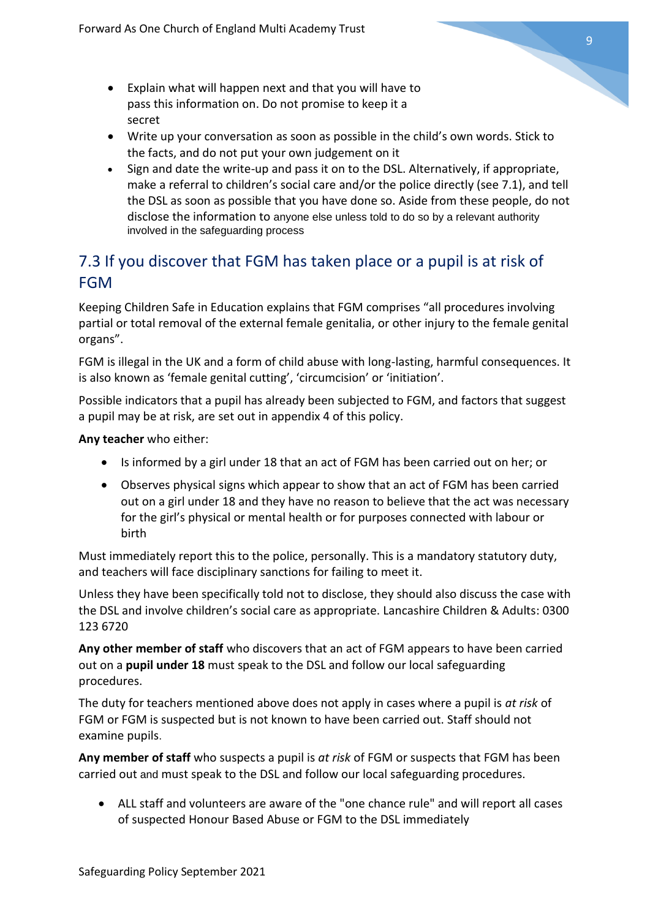- Explain what will happen next and that you will have to pass this information on. Do not promise to keep it a secret
- Write up your conversation as soon as possible in the child's own words. Stick to the facts, and do not put your own judgement on it
- Sign and date the write-up and pass it on to the DSL. Alternatively, if appropriate, make a referral to children's social care and/or the police directly (see 7.1), and tell the DSL as soon as possible that you have done so. Aside from these people, do not disclose the information to anyone else unless told to do so by a relevant authority involved in the safeguarding process

## 7.3 If you discover that FGM has taken place or a pupil is at risk of FGM

Keeping Children Safe in Education explains that FGM comprises "all procedures involving partial or total removal of the external female genitalia, or other injury to the female genital organs".

FGM is illegal in the UK and a form of child abuse with long-lasting, harmful consequences. It is also known as 'female genital cutting', 'circumcision' or 'initiation'.

Possible indicators that a pupil has already been subjected to FGM, and factors that suggest a pupil may be at risk, are set out in appendix 4 of this policy.

**Any teacher** who either:

- Is informed by a girl under 18 that an act of FGM has been carried out on her; or
- Observes physical signs which appear to show that an act of FGM has been carried out on a girl under 18 and they have no reason to believe that the act was necessary for the girl's physical or mental health or for purposes connected with labour or birth

Must immediately report this to the police, personally. This is a mandatory statutory duty, and teachers will face disciplinary sanctions for failing to meet it.

Unless they have been specifically told not to disclose, they should also discuss the case with the DSL and involve children's social care as appropriate. Lancashire Children & Adults: 0300 123 6720

**Any other member of staff** who discovers that an act of FGM appears to have been carried out on a **pupil under 18** must speak to the DSL and follow our local safeguarding procedures.

The duty for teachers mentioned above does not apply in cases where a pupil is *at risk* of FGM or FGM is suspected but is not known to have been carried out. Staff should not examine pupils.

**Any member of staff** who suspects a pupil is *at risk* of FGM or suspects that FGM has been carried out and must speak to the DSL and follow our local safeguarding procedures.

• ALL staff and volunteers are aware of the "one chance rule" and will report all cases of suspected Honour Based Abuse or FGM to the DSL immediately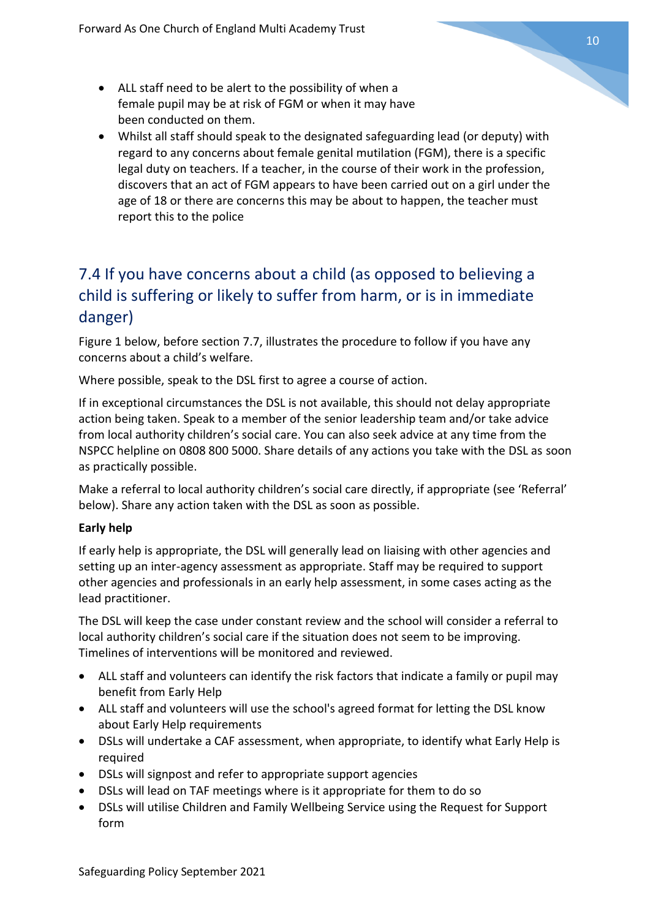- ALL staff need to be alert to the possibility of when a female pupil may be at risk of FGM or when it may have been conducted on them.
- Whilst all staff should speak to the designated safeguarding lead (or deputy) with regard to any concerns about female genital mutilation (FGM), there is a specific legal duty on teachers. If a teacher, in the course of their work in the profession, discovers that an act of FGM appears to have been carried out on a girl under the age of 18 or there are concerns this may be about to happen, the teacher must report this to the police

## 7.4 If you have concerns about a child (as opposed to believing a child is suffering or likely to suffer from harm, or is in immediate danger)

Figure 1 below, before section 7.7, illustrates the procedure to follow if you have any concerns about a child's welfare.

Where possible, speak to the DSL first to agree a course of action.

If in exceptional circumstances the DSL is not available, this should not delay appropriate action being taken. Speak to a member of the senior leadership team and/or take advice from local authority children's social care. You can also seek advice at any time from the NSPCC helpline on 0808 800 5000. Share details of any actions you take with the DSL as soon as practically possible.

Make a referral to local authority children's social care directly, if appropriate (see 'Referral' below). Share any action taken with the DSL as soon as possible.

## **Early help**

If early help is appropriate, the DSL will generally lead on liaising with other agencies and setting up an inter-agency assessment as appropriate. Staff may be required to support other agencies and professionals in an early help assessment, in some cases acting as the lead practitioner.

The DSL will keep the case under constant review and the school will consider a referral to local authority children's social care if the situation does not seem to be improving. Timelines of interventions will be monitored and reviewed.

- ALL staff and volunteers can identify the risk factors that indicate a family or pupil may benefit from Early Help
- ALL staff and volunteers will use the school's agreed format for letting the DSL know about Early Help requirements
- DSLs will undertake a CAF assessment, when appropriate, to identify what Early Help is required
- DSLs will signpost and refer to appropriate support agencies
- DSLs will lead on TAF meetings where is it appropriate for them to do so
- DSLs will utilise Children and Family Wellbeing Service using the Request for Support form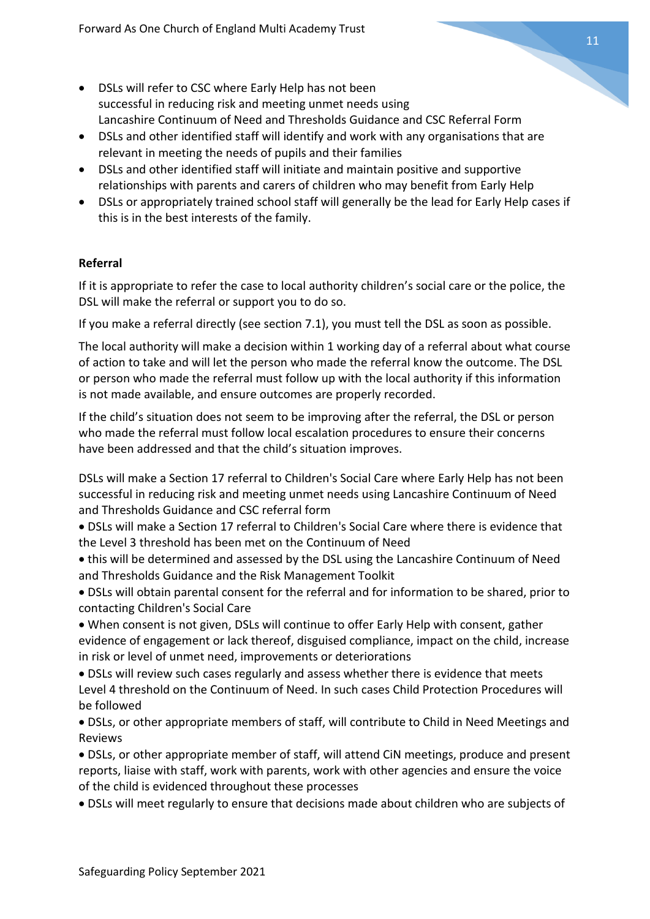- DSLs will refer to CSC where Early Help has not been successful in reducing risk and meeting unmet needs using Lancashire Continuum of Need and Thresholds Guidance and CSC Referral Form
- DSLs and other identified staff will identify and work with any organisations that are relevant in meeting the needs of pupils and their families
- DSLs and other identified staff will initiate and maintain positive and supportive relationships with parents and carers of children who may benefit from Early Help
- DSLs or appropriately trained school staff will generally be the lead for Early Help cases if this is in the best interests of the family.

## **Referral**

If it is appropriate to refer the case to local authority children's social care or the police, the DSL will make the referral or support you to do so.

If you make a referral directly (see section 7.1), you must tell the DSL as soon as possible.

The local authority will make a decision within 1 working day of a referral about what course of action to take and will let the person who made the referral know the outcome. The DSL or person who made the referral must follow up with the local authority if this information is not made available, and ensure outcomes are properly recorded.

If the child's situation does not seem to be improving after the referral, the DSL or person who made the referral must follow local escalation procedures to ensure their concerns have been addressed and that the child's situation improves.

DSLs will make a Section 17 referral to Children's Social Care where Early Help has not been successful in reducing risk and meeting unmet needs using Lancashire Continuum of Need and Thresholds Guidance and CSC referral form

• DSLs will make a Section 17 referral to Children's Social Care where there is evidence that the Level 3 threshold has been met on the Continuum of Need

• this will be determined and assessed by the DSL using the Lancashire Continuum of Need and Thresholds Guidance and the Risk Management Toolkit

- DSLs will obtain parental consent for the referral and for information to be shared, prior to contacting Children's Social Care
- When consent is not given, DSLs will continue to offer Early Help with consent, gather evidence of engagement or lack thereof, disguised compliance, impact on the child, increase in risk or level of unmet need, improvements or deteriorations

• DSLs will review such cases regularly and assess whether there is evidence that meets Level 4 threshold on the Continuum of Need. In such cases Child Protection Procedures will be followed

• DSLs, or other appropriate members of staff, will contribute to Child in Need Meetings and Reviews

• DSLs, or other appropriate member of staff, will attend CiN meetings, produce and present reports, liaise with staff, work with parents, work with other agencies and ensure the voice of the child is evidenced throughout these processes

• DSLs will meet regularly to ensure that decisions made about children who are subjects of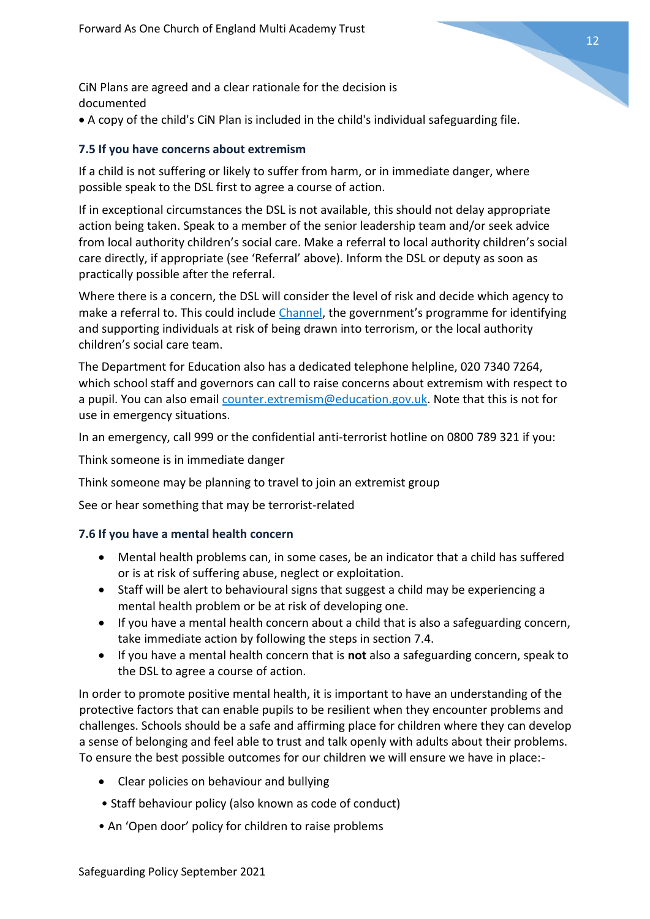CiN Plans are agreed and a clear rationale for the decision is documented

• A copy of the child's CiN Plan is included in the child's individual safeguarding file.

## **7.5 If you have concerns about extremism**

If a child is not suffering or likely to suffer from harm, or in immediate danger, where possible speak to the DSL first to agree a course of action.

If in exceptional circumstances the DSL is not available, this should not delay appropriate action being taken. Speak to a member of the senior leadership team and/or seek advice from local authority children's social care. Make a referral to local authority children's social care directly, if appropriate (see 'Referral' above). Inform the DSL or deputy as soon as practically possible after the referral.

Where there is a concern, the DSL will consider the level of risk and decide which agency to make a referral to. This could include [Channel](https://www.gov.uk/government/publications/channel-guidance), the government's programme for identifying and supporting individuals at risk of being drawn into terrorism, or the local authority children's social care team.

The Department for Education also has a dedicated telephone helpline, 020 7340 7264, which school staff and governors can call to raise concerns about extremism with respect to a pupil. You can also email [counter.extremism@education.gov.uk.](mailto:counter.extremism@education.gov.uk) Note that this is not for use in emergency situations.

In an emergency, call 999 or the confidential anti-terrorist hotline on 0800 789 321 if you:

Think someone is in immediate danger

Think someone may be planning to travel to join an extremist group

See or hear something that may be terrorist-related

### **7.6 If you have a mental health concern**

- Mental health problems can, in some cases, be an indicator that a child has suffered or is at risk of suffering abuse, neglect or exploitation.
- Staff will be alert to behavioural signs that suggest a child may be experiencing a mental health problem or be at risk of developing one.
- If you have a mental health concern about a child that is also a safeguarding concern, take immediate action by following the steps in section 7.4.
- If you have a mental health concern that is **not** also a safeguarding concern, speak to the DSL to agree a course of action.

In order to promote positive mental health, it is important to have an understanding of the protective factors that can enable pupils to be resilient when they encounter problems and challenges. Schools should be a safe and affirming place for children where they can develop a sense of belonging and feel able to trust and talk openly with adults about their problems. To ensure the best possible outcomes for our children we will ensure we have in place:-

- Clear policies on behaviour and bullying
- Staff behaviour policy (also known as code of conduct)
- An 'Open door' policy for children to raise problems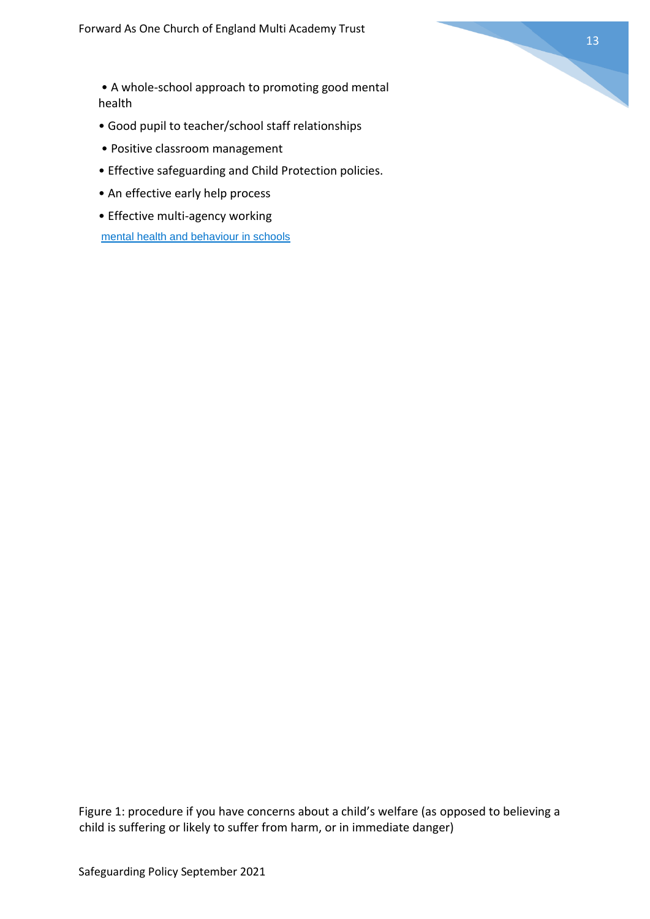• A whole-school approach to promoting good mental health

- Good pupil to teacher/school staff relationships
- Positive classroom management
- Effective safeguarding and Child Protection policies.
- An effective early help process
- Effective multi-agency working

[mental health and behaviour in schools](https://www.gov.uk/government/publications/mental-health-and-behaviour-in-schools--2)



Figure 1: procedure if you have concerns about a child's welfare (as opposed to believing a child is suffering or likely to suffer from harm, or in immediate danger)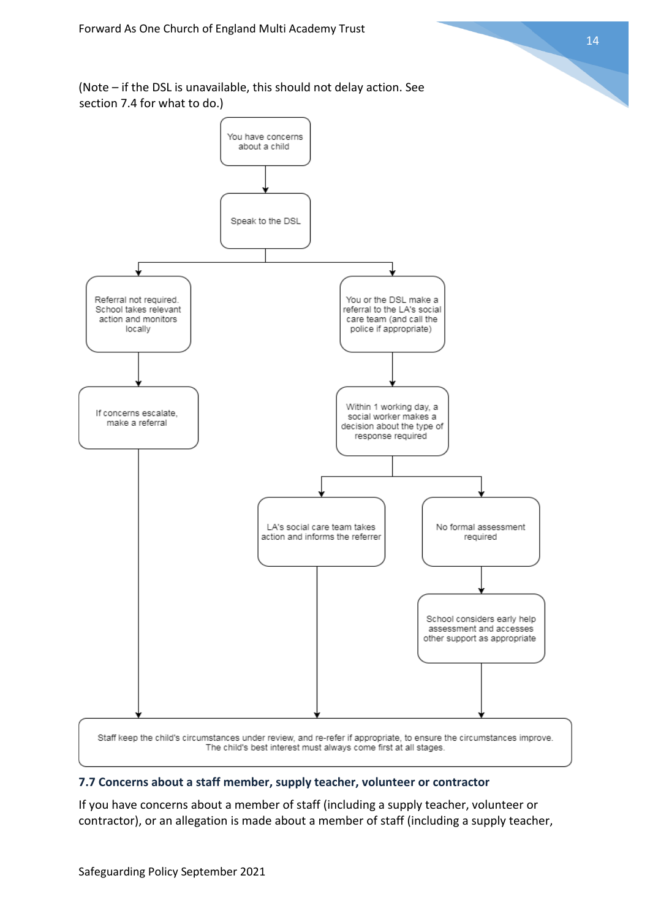

(Note – if the DSL is unavailable, this should not delay action. See section 7.4 for what to do.)



## **7.7 Concerns about a staff member, supply teacher, volunteer or contractor**

If you have concerns about a member of staff (including a supply teacher, volunteer or contractor), or an allegation is made about a member of staff (including a supply teacher,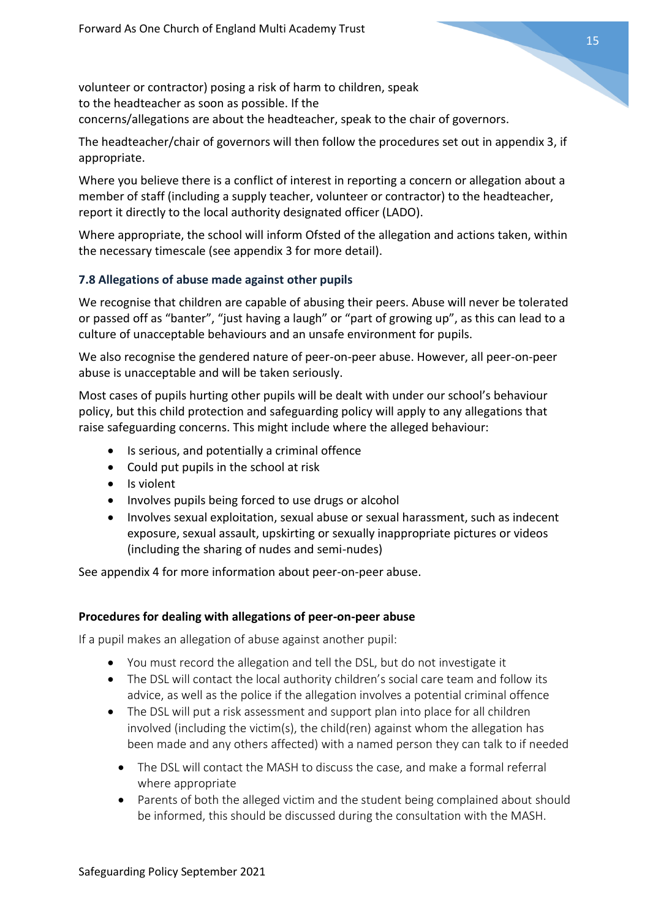volunteer or contractor) posing a risk of harm to children, speak to the headteacher as soon as possible. If the concerns/allegations are about the headteacher, speak to the chair of governors.

The headteacher/chair of governors will then follow the procedures set out in appendix 3, if appropriate.

Where you believe there is a conflict of interest in reporting a concern or allegation about a member of staff (including a supply teacher, volunteer or contractor) to the headteacher, report it directly to the local authority designated officer (LADO).

Where appropriate, the school will inform Ofsted of the allegation and actions taken, within the necessary timescale (see appendix 3 for more detail).

### **7.8 Allegations of abuse made against other pupils**

We recognise that children are capable of abusing their peers. Abuse will never be tolerated or passed off as "banter", "just having a laugh" or "part of growing up", as this can lead to a culture of unacceptable behaviours and an unsafe environment for pupils.

We also recognise the gendered nature of peer-on-peer abuse. However, all peer-on-peer abuse is unacceptable and will be taken seriously.

Most cases of pupils hurting other pupils will be dealt with under our school's behaviour policy, but this child protection and safeguarding policy will apply to any allegations that raise safeguarding concerns. This might include where the alleged behaviour:

- Is serious, and potentially a criminal offence
- Could put pupils in the school at risk
- Is violent
- Involves pupils being forced to use drugs or alcohol
- Involves sexual exploitation, sexual abuse or sexual harassment, such as indecent exposure, sexual assault, upskirting or sexually inappropriate pictures or videos (including the sharing of nudes and semi-nudes)

See appendix 4 for more information about peer-on-peer abuse.

### **Procedures for dealing with allegations of peer-on-peer abuse**

If a pupil makes an allegation of abuse against another pupil:

- You must record the allegation and tell the DSL, but do not investigate it
- The DSL will contact the local authority children's social care team and follow its advice, as well as the police if the allegation involves a potential criminal offence
- The DSL will put a risk assessment and support plan into place for all children involved (including the victim(s), the child(ren) against whom the allegation has been made and any others affected) with a named person they can talk to if needed
	- The DSL will contact the MASH to discuss the case, and make a formal referral where appropriate
	- Parents of both the alleged victim and the student being complained about should be informed, this should be discussed during the consultation with the MASH.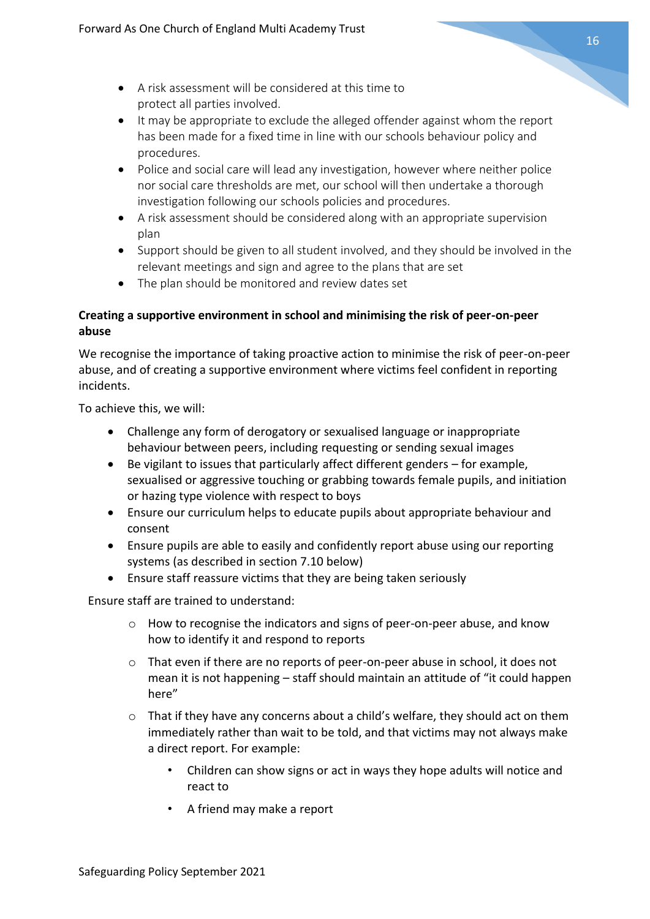- A risk assessment will be considered at this time to protect all parties involved.
- It may be appropriate to exclude the alleged offender against whom the report has been made for a fixed time in line with our schools behaviour policy and procedures.
- Police and social care will lead any investigation, however where neither police nor social care thresholds are met, our school will then undertake a thorough investigation following our schools policies and procedures.
- A risk assessment should be considered along with an appropriate supervision plan
- Support should be given to all student involved, and they should be involved in the relevant meetings and sign and agree to the plans that are set
- The plan should be monitored and review dates set

## **Creating a supportive environment in school and minimising the risk of peer-on-peer abuse**

We recognise the importance of taking proactive action to minimise the risk of peer-on-peer abuse, and of creating a supportive environment where victims feel confident in reporting incidents.

To achieve this, we will:

- Challenge any form of derogatory or sexualised language or inappropriate behaviour between peers, including requesting or sending sexual images
- Be vigilant to issues that particularly affect different genders for example, sexualised or aggressive touching or grabbing towards female pupils, and initiation or hazing type violence with respect to boys
- Ensure our curriculum helps to educate pupils about appropriate behaviour and consent
- Ensure pupils are able to easily and confidently report abuse using our reporting systems (as described in section 7.10 below)
- Ensure staff reassure victims that they are being taken seriously

Ensure staff are trained to understand:

- o How to recognise the indicators and signs of peer-on-peer abuse, and know how to identify it and respond to reports
- o That even if there are no reports of peer-on-peer abuse in school, it does not mean it is not happening – staff should maintain an attitude of "it could happen here"
- $\circ$  That if they have any concerns about a child's welfare, they should act on them immediately rather than wait to be told, and that victims may not always make a direct report. For example:
	- Children can show signs or act in ways they hope adults will notice and react to
	- A friend may make a report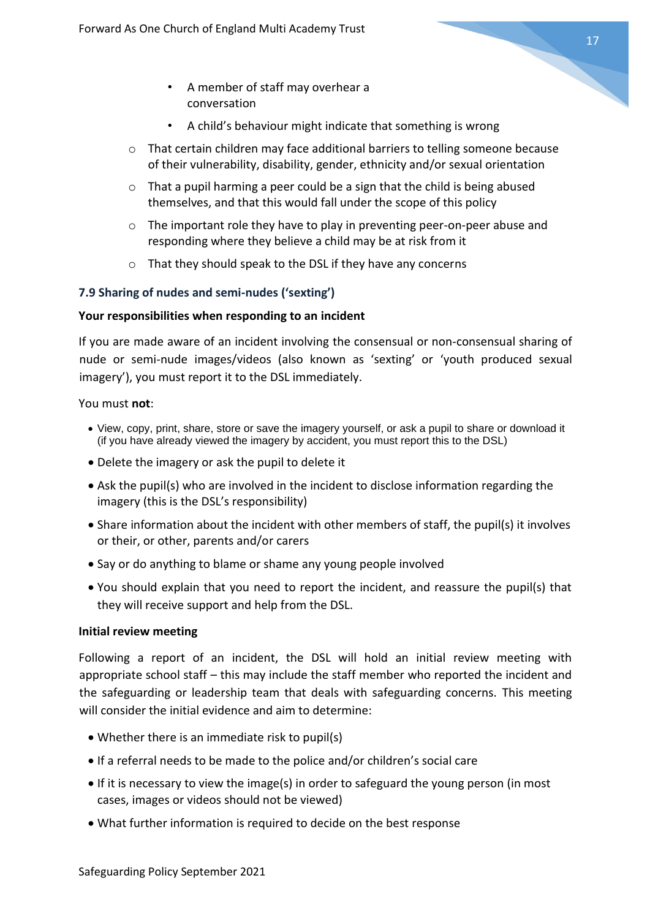- A member of staff may overhear a conversation
- A child's behaviour might indicate that something is wrong
- $\circ$  That certain children may face additional barriers to telling someone because of their vulnerability, disability, gender, ethnicity and/or sexual orientation
- o That a pupil harming a peer could be a sign that the child is being abused themselves, and that this would fall under the scope of this policy
- $\circ$  The important role they have to play in preventing peer-on-peer abuse and responding where they believe a child may be at risk from it
- o That they should speak to the DSL if they have any concerns

## **7.9 Sharing of nudes and semi-nudes ('sexting')**

### **Your responsibilities when responding to an incident**

If you are made aware of an incident involving the consensual or non-consensual sharing of nude or semi-nude images/videos (also known as 'sexting' or 'youth produced sexual imagery'), you must report it to the DSL immediately.

You must **not**:

- View, copy, print, share, store or save the imagery yourself, or ask a pupil to share or download it (if you have already viewed the imagery by accident, you must report this to the DSL)
- Delete the imagery or ask the pupil to delete it
- Ask the pupil(s) who are involved in the incident to disclose information regarding the imagery (this is the DSL's responsibility)
- Share information about the incident with other members of staff, the pupil(s) it involves or their, or other, parents and/or carers
- Say or do anything to blame or shame any young people involved
- You should explain that you need to report the incident, and reassure the pupil(s) that they will receive support and help from the DSL.

### **Initial review meeting**

Following a report of an incident, the DSL will hold an initial review meeting with appropriate school staff – this may include the staff member who reported the incident and the safeguarding or leadership team that deals with safeguarding concerns. This meeting will consider the initial evidence and aim to determine:

- Whether there is an immediate risk to pupil(s)
- If a referral needs to be made to the police and/or children's social care
- If it is necessary to view the image(s) in order to safeguard the young person (in most cases, images or videos should not be viewed)
- What further information is required to decide on the best response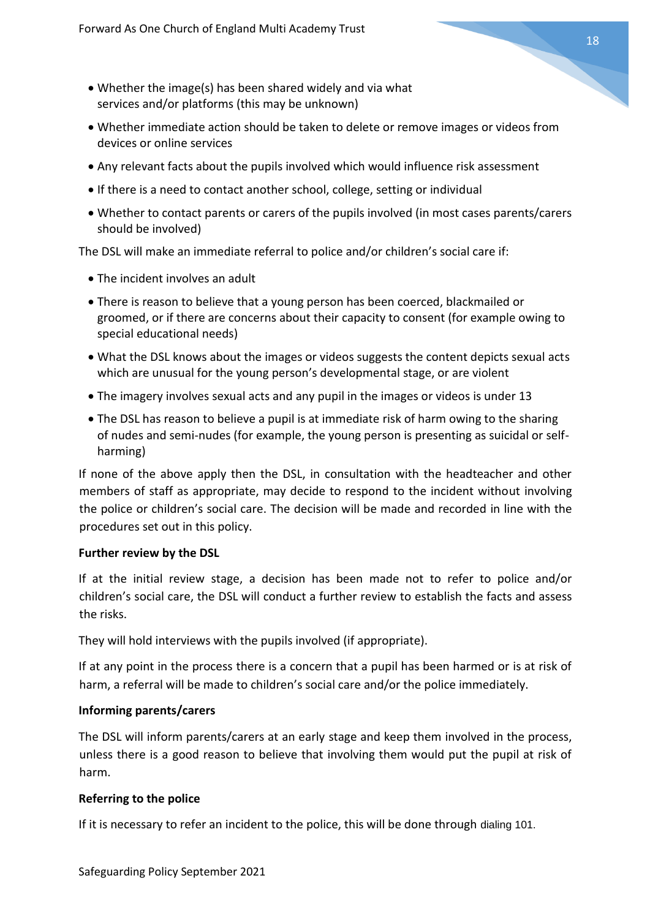- Whether the image(s) has been shared widely and via what services and/or platforms (this may be unknown)
- Whether immediate action should be taken to delete or remove images or videos from devices or online services
- Any relevant facts about the pupils involved which would influence risk assessment
- If there is a need to contact another school, college, setting or individual
- Whether to contact parents or carers of the pupils involved (in most cases parents/carers should be involved)

The DSL will make an immediate referral to police and/or children's social care if:

- The incident involves an adult
- There is reason to believe that a young person has been coerced, blackmailed or groomed, or if there are concerns about their capacity to consent (for example owing to special educational needs)
- What the DSL knows about the images or videos suggests the content depicts sexual acts which are unusual for the young person's developmental stage, or are violent
- The imagery involves sexual acts and any pupil in the images or videos is under 13
- The DSL has reason to believe a pupil is at immediate risk of harm owing to the sharing of nudes and semi-nudes (for example, the young person is presenting as suicidal or selfharming)

If none of the above apply then the DSL, in consultation with the headteacher and other members of staff as appropriate, may decide to respond to the incident without involving the police or children's social care. The decision will be made and recorded in line with the procedures set out in this policy.

### **Further review by the DSL**

If at the initial review stage, a decision has been made not to refer to police and/or children's social care, the DSL will conduct a further review to establish the facts and assess the risks.

They will hold interviews with the pupils involved (if appropriate).

If at any point in the process there is a concern that a pupil has been harmed or is at risk of harm, a referral will be made to children's social care and/or the police immediately.

### **Informing parents/carers**

The DSL will inform parents/carers at an early stage and keep them involved in the process, unless there is a good reason to believe that involving them would put the pupil at risk of harm.

### **Referring to the police**

If it is necessary to refer an incident to the police, this will be done through dialing 101.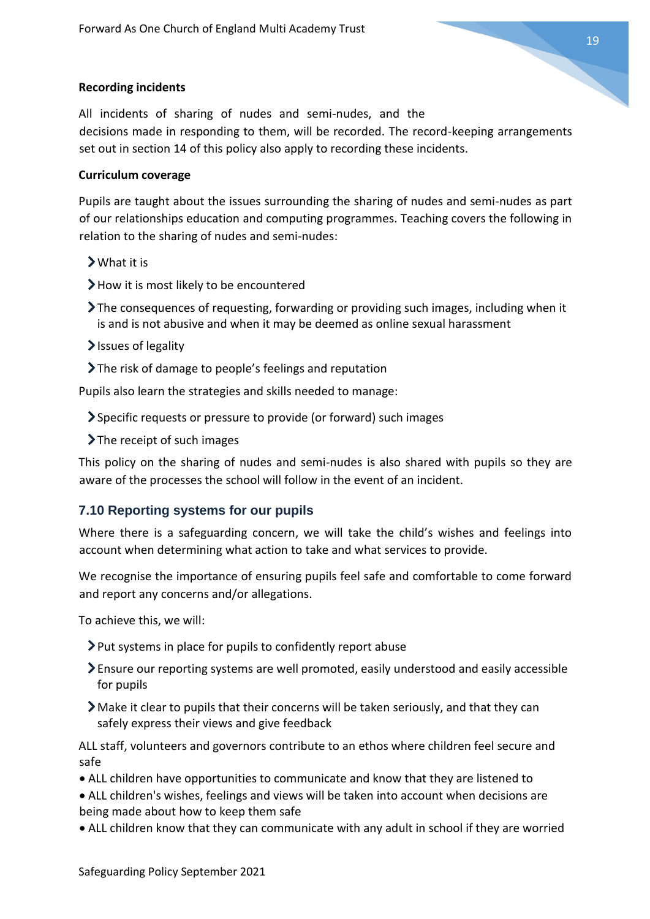### **Recording incidents**

All incidents of sharing of nudes and semi-nudes, and the

decisions made in responding to them, will be recorded. The record-keeping arrangements set out in section 14 of this policy also apply to recording these incidents.

### **Curriculum coverage**

Pupils are taught about the issues surrounding the sharing of nudes and semi-nudes as part of our relationships education and computing programmes. Teaching covers the following in relation to the sharing of nudes and semi-nudes:

- What it is
- > How it is most likely to be encountered
- The consequences of requesting, forwarding or providing such images, including when it is and is not abusive and when it may be deemed as online sexual harassment
- Issues of legality
- > The risk of damage to people's feelings and reputation

Pupils also learn the strategies and skills needed to manage:

- Specific requests or pressure to provide (or forward) such images
- $\blacktriangleright$  The receipt of such images

This policy on the sharing of nudes and semi-nudes is also shared with pupils so they are aware of the processes the school will follow in the event of an incident.

## **7.10 Reporting systems for our pupils**

Where there is a safeguarding concern, we will take the child's wishes and feelings into account when determining what action to take and what services to provide.

We recognise the importance of ensuring pupils feel safe and comfortable to come forward and report any concerns and/or allegations.

To achieve this, we will:

- Put systems in place for pupils to confidently report abuse
- Ensure our reporting systems are well promoted, easily understood and easily accessible for pupils
- Make it clear to pupils that their concerns will be taken seriously, and that they can safely express their views and give feedback

ALL staff, volunteers and governors contribute to an ethos where children feel secure and safe

- ALL children have opportunities to communicate and know that they are listened to
- ALL children's wishes, feelings and views will be taken into account when decisions are being made about how to keep them safe
- ALL children know that they can communicate with any adult in school if they are worried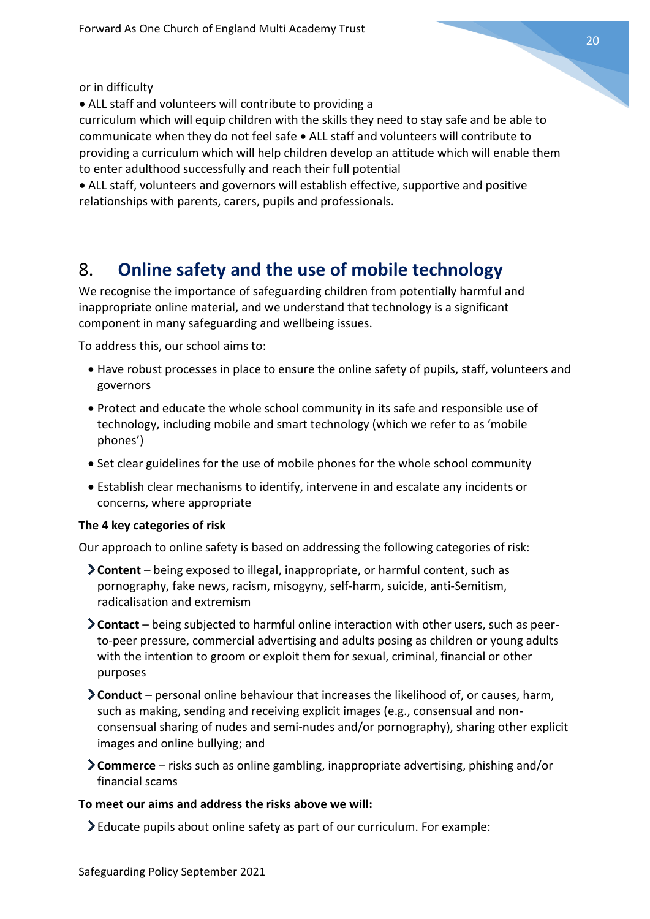or in difficulty

• ALL staff and volunteers will contribute to providing a

curriculum which will equip children with the skills they need to stay safe and be able to communicate when they do not feel safe • ALL staff and volunteers will contribute to providing a curriculum which will help children develop an attitude which will enable them to enter adulthood successfully and reach their full potential

• ALL staff, volunteers and governors will establish effective, supportive and positive relationships with parents, carers, pupils and professionals.

## 8. **Online safety and the use of mobile technology**

We recognise the importance of safeguarding children from potentially harmful and inappropriate online material, and we understand that technology is a significant component in many safeguarding and wellbeing issues.

To address this, our school aims to:

- Have robust processes in place to ensure the online safety of pupils, staff, volunteers and governors
- Protect and educate the whole school community in its safe and responsible use of technology, including mobile and smart technology (which we refer to as 'mobile phones')
- Set clear guidelines for the use of mobile phones for the whole school community
- Establish clear mechanisms to identify, intervene in and escalate any incidents or concerns, where appropriate

## **The 4 key categories of risk**

Our approach to online safety is based on addressing the following categories of risk:

- **Content** being exposed to illegal, inappropriate, or harmful content, such as pornography, fake news, racism, misogyny, self-harm, suicide, anti-Semitism, radicalisation and extremism
- **Contact** being subjected to harmful online interaction with other users, such as peerto-peer pressure, commercial advertising and adults posing as children or young adults with the intention to groom or exploit them for sexual, criminal, financial or other purposes
- **Conduct** personal online behaviour that increases the likelihood of, or causes, harm, such as making, sending and receiving explicit images (e.g., consensual and nonconsensual sharing of nudes and semi-nudes and/or pornography), sharing other explicit images and online bullying; and
- **Commerce** risks such as online gambling, inappropriate advertising, phishing and/or financial scams

### **To meet our aims and address the risks above we will:**

Educate pupils about online safety as part of our curriculum. For example: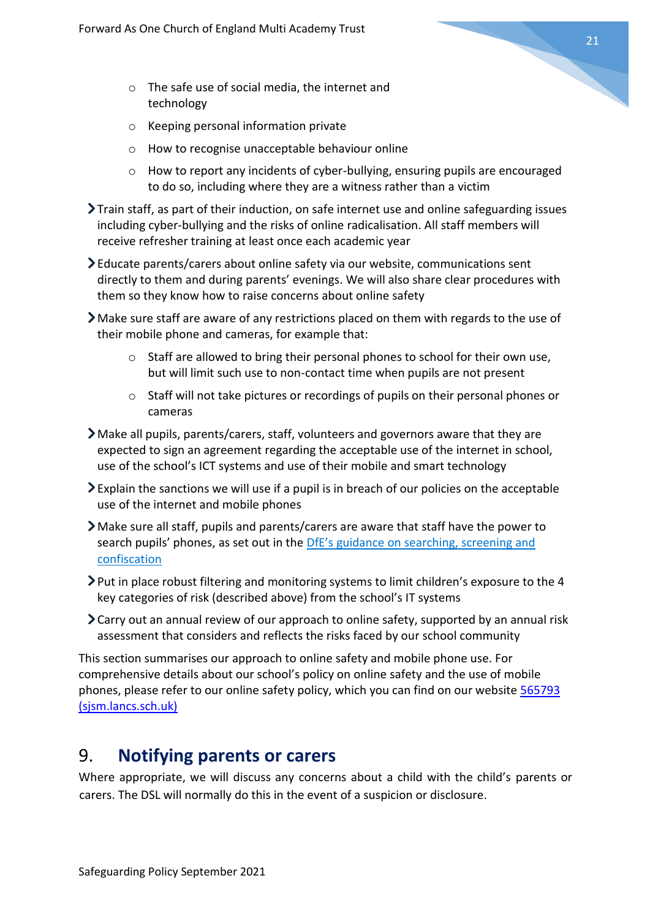- o The safe use of social media, the internet and technology
- o Keeping personal information private
- o How to recognise unacceptable behaviour online
- $\circ$  How to report any incidents of cyber-bullying, ensuring pupils are encouraged to do so, including where they are a witness rather than a victim
- Train staff, as part of their induction, on safe internet use and online safeguarding issues including cyber-bullying and the risks of online radicalisation. All staff members will receive refresher training at least once each academic year
- Educate parents/carers about online safety via our website, communications sent directly to them and during parents' evenings. We will also share clear procedures with them so they know how to raise concerns about online safety
- Make sure staff are aware of any restrictions placed on them with regards to the use of their mobile phone and cameras, for example that:
	- $\circ$  Staff are allowed to bring their personal phones to school for their own use, but will limit such use to non-contact time when pupils are not present
	- o Staff will not take pictures or recordings of pupils on their personal phones or cameras
- Make all pupils, parents/carers, staff, volunteers and governors aware that they are expected to sign an agreement regarding the acceptable use of the internet in school, use of the school's ICT systems and use of their mobile and smart technology
- Explain the sanctions we will use if a pupil is in breach of our policies on the acceptable use of the internet and mobile phones
- Make sure all staff, pupils and parents/carers are aware that staff have the power to search pupils' phones, as set out in the DfE's guidance on searching, screening and [confiscation](https://www.gov.uk/government/publications/searching-screening-and-confiscation)
- Put in place robust filtering and monitoring systems to limit children's exposure to the 4 key categories of risk (described above) from the school's IT systems
- Carry out an annual review of our approach to online safety, supported by an annual risk assessment that considers and reflects the risks faced by our school community

This section summarises our approach to online safety and mobile phone use. For comprehensive details about our school's policy on online safety and the use of mobile phones, please refer to our online safety policy, which you can find on our website [565793](http://www.sjsm.lancs.sch.uk/serve_file/565793)  [\(sjsm.lancs.sch.uk\)](http://www.sjsm.lancs.sch.uk/serve_file/565793)

## 9. **Notifying parents or carers**

Where appropriate, we will discuss any concerns about a child with the child's parents or carers. The DSL will normally do this in the event of a suspicion or disclosure.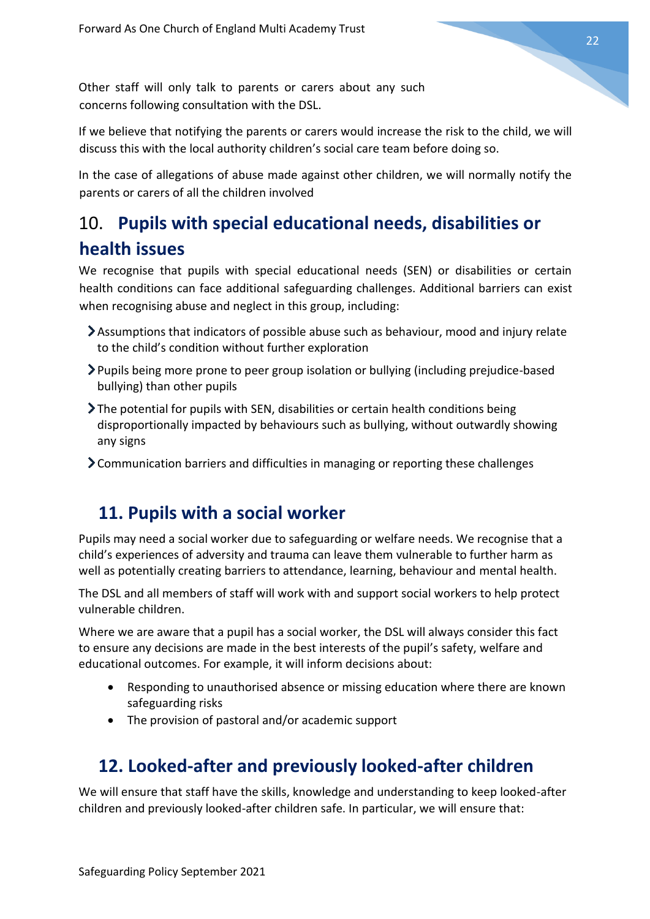Other staff will only talk to parents or carers about any such concerns following consultation with the DSL.

If we believe that notifying the parents or carers would increase the risk to the child, we will discuss this with the local authority children's social care team before doing so.

In the case of allegations of abuse made against other children, we will normally notify the parents or carers of all the children involved

## 10. **Pupils with special educational needs, disabilities or health issues**

We recognise that pupils with special educational needs (SEN) or disabilities or certain health conditions can face additional safeguarding challenges. Additional barriers can exist when recognising abuse and neglect in this group, including:

- Assumptions that indicators of possible abuse such as behaviour, mood and injury relate to the child's condition without further exploration
- Pupils being more prone to peer group isolation or bullying (including prejudice-based bullying) than other pupils
- $\sum$  The potential for pupils with SEN, disabilities or certain health conditions being disproportionally impacted by behaviours such as bullying, without outwardly showing any signs
- Communication barriers and difficulties in managing or reporting these challenges

## <span id="page-21-0"></span>**11. Pupils with a social worker**

Pupils may need a social worker due to safeguarding or welfare needs. We recognise that a child's experiences of adversity and trauma can leave them vulnerable to further harm as well as potentially creating barriers to attendance, learning, behaviour and mental health.

The DSL and all members of staff will work with and support social workers to help protect vulnerable children.

Where we are aware that a pupil has a social worker, the DSL will always consider this fact to ensure any decisions are made in the best interests of the pupil's safety, welfare and educational outcomes. For example, it will inform decisions about:

- Responding to unauthorised absence or missing education where there are known safeguarding risks
- The provision of pastoral and/or academic support

## <span id="page-21-1"></span>**12. Looked-after and previously looked-after children**

We will ensure that staff have the skills, knowledge and understanding to keep looked-after children and previously looked-after children safe. In particular, we will ensure that: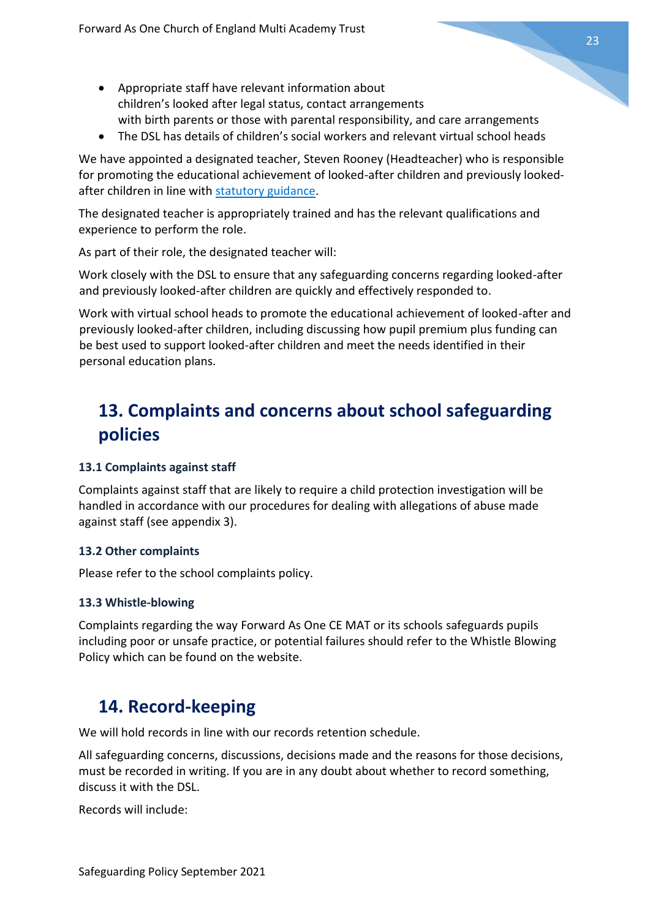- Appropriate staff have relevant information about children's looked after legal status, contact arrangements with birth parents or those with parental responsibility, and care arrangements
- The DSL has details of children's social workers and relevant virtual school heads

We have appointed a designated teacher, Steven Rooney (Headteacher) who is responsible for promoting the educational achievement of looked-after children and previously lookedafter children in line with [statutory guidance.](https://www.gov.uk/government/publications/designated-teacher-for-looked-after-children)

The designated teacher is appropriately trained and has the relevant qualifications and experience to perform the role.

As part of their role, the designated teacher will:

Work closely with the DSL to ensure that any safeguarding concerns regarding looked-after and previously looked-after children are quickly and effectively responded to.

Work with virtual school heads to promote the educational achievement of looked-after and previously looked-after children, including discussing how pupil premium plus funding can be best used to support looked-after children and meet the needs identified in their personal education plans.

## <span id="page-22-0"></span>**13. Complaints and concerns about school safeguarding policies**

### **13.1 Complaints against staff**

Complaints against staff that are likely to require a child protection investigation will be handled in accordance with our procedures for dealing with allegations of abuse made against staff (see appendix 3).

### **13.2 Other complaints**

Please refer to the school complaints policy.

### **13.3 Whistle-blowing**

Complaints regarding the way Forward As One CE MAT or its schools safeguards pupils including poor or unsafe practice, or potential failures should refer to the Whistle Blowing Policy which can be found on the website.

## <span id="page-22-1"></span>**14. Record-keeping**

We will hold records in line with our records retention schedule.

All safeguarding concerns, discussions, decisions made and the reasons for those decisions, must be recorded in writing. If you are in any doubt about whether to record something, discuss it with the DSL.

Records will include: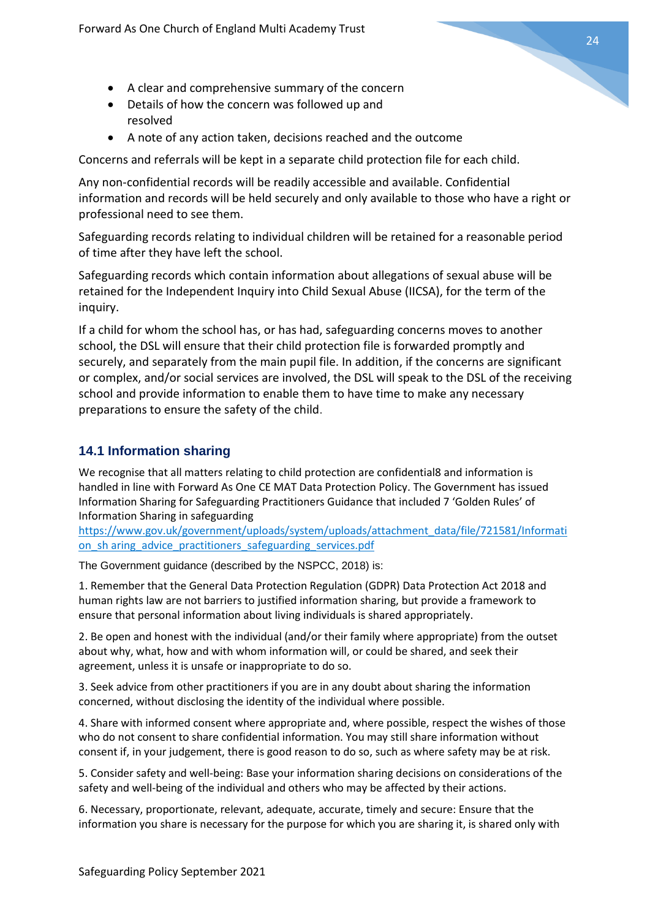- A clear and comprehensive summary of the concern
- Details of how the concern was followed up and resolved
- A note of any action taken, decisions reached and the outcome

Concerns and referrals will be kept in a separate child protection file for each child.

Any non-confidential records will be readily accessible and available. Confidential information and records will be held securely and only available to those who have a right or professional need to see them.

Safeguarding records relating to individual children will be retained for a reasonable period of time after they have left the school.

Safeguarding records which contain information about allegations of sexual abuse will be retained for the Independent Inquiry into Child Sexual Abuse (IICSA), for the term of the inquiry.

If a child for whom the school has, or has had, safeguarding concerns moves to another school, the DSL will ensure that their child protection file is forwarded promptly and securely, and separately from the main pupil file. In addition, if the concerns are significant or complex, and/or social services are involved, the DSL will speak to the DSL of the receiving school and provide information to enable them to have time to make any necessary preparations to ensure the safety of the child.

## **14.1 Information sharing**

We recognise that all matters relating to child protection are confidential8 and information is handled in line with Forward As One CE MAT Data Protection Policy. The Government has issued Information Sharing for Safeguarding Practitioners Guidance that included 7 'Golden Rules' of Information Sharing in safeguarding

[https://www.gov.uk/government/uploads/system/uploads/attachment\\_data/file/721581/Informati](https://www.gov.uk/government/uploads/system/uploads/attachment_data/file/721581/Information_sh%20aring_advice_practitioners_safeguarding_services.pdf) [on\\_sh aring\\_advice\\_practitioners\\_safeguarding\\_services.pdf](https://www.gov.uk/government/uploads/system/uploads/attachment_data/file/721581/Information_sh%20aring_advice_practitioners_safeguarding_services.pdf)

The Government guidance (described by the NSPCC, 2018) is:

1. Remember that the General Data Protection Regulation (GDPR) Data Protection Act 2018 and human rights law are not barriers to justified information sharing, but provide a framework to ensure that personal information about living individuals is shared appropriately.

2. Be open and honest with the individual (and/or their family where appropriate) from the outset about why, what, how and with whom information will, or could be shared, and seek their agreement, unless it is unsafe or inappropriate to do so.

3. Seek advice from other practitioners if you are in any doubt about sharing the information concerned, without disclosing the identity of the individual where possible.

4. Share with informed consent where appropriate and, where possible, respect the wishes of those who do not consent to share confidential information. You may still share information without consent if, in your judgement, there is good reason to do so, such as where safety may be at risk.

5. Consider safety and well-being: Base your information sharing decisions on considerations of the safety and well-being of the individual and others who may be affected by their actions.

6. Necessary, proportionate, relevant, adequate, accurate, timely and secure: Ensure that the information you share is necessary for the purpose for which you are sharing it, is shared only with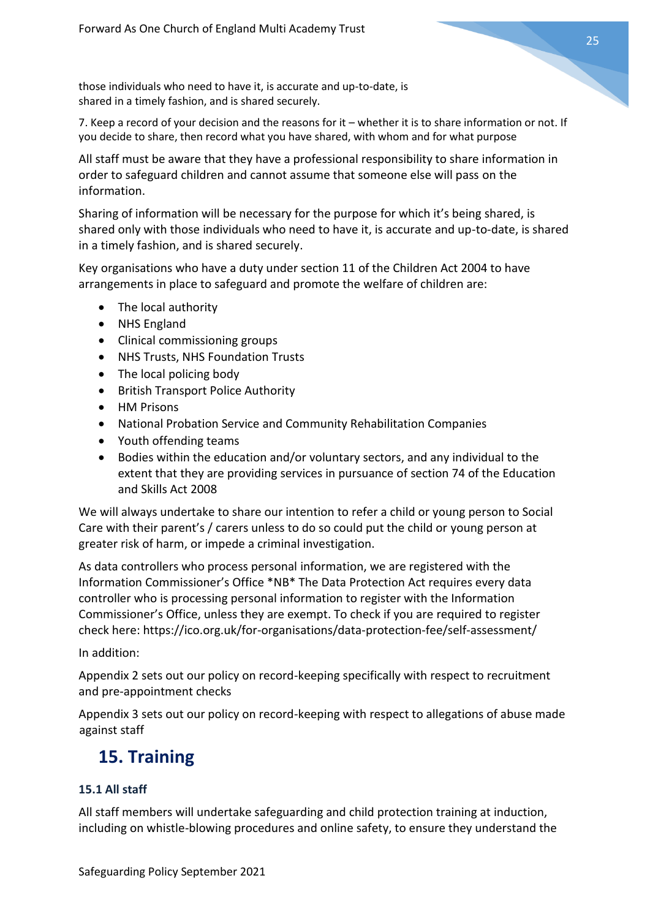those individuals who need to have it, is accurate and up-to-date, is shared in a timely fashion, and is shared securely.

7. Keep a record of your decision and the reasons for it – whether it is to share information or not. If you decide to share, then record what you have shared, with whom and for what purpose

All staff must be aware that they have a professional responsibility to share information in order to safeguard children and cannot assume that someone else will pass on the information.

Sharing of information will be necessary for the purpose for which it's being shared, is shared only with those individuals who need to have it, is accurate and up-to-date, is shared in a timely fashion, and is shared securely.

Key organisations who have a duty under section 11 of the Children Act 2004 to have arrangements in place to safeguard and promote the welfare of children are:

- The local authority
- NHS England
- Clinical commissioning groups
- NHS Trusts, NHS Foundation Trusts
- The local policing body
- British Transport Police Authority
- HM Prisons
- National Probation Service and Community Rehabilitation Companies
- Youth offending teams
- Bodies within the education and/or voluntary sectors, and any individual to the extent that they are providing services in pursuance of section 74 of the Education and Skills Act 2008

We will always undertake to share our intention to refer a child or young person to Social Care with their parent's / carers unless to do so could put the child or young person at greater risk of harm, or impede a criminal investigation.

As data controllers who process personal information, we are registered with the Information Commissioner's Office \*NB\* The Data Protection Act requires every data controller who is processing personal information to register with the Information Commissioner's Office, unless they are exempt. To check if you are required to register check here: https://ico.org.uk/for-organisations/data-protection-fee/self-assessment/

In addition:

Appendix 2 sets out our policy on record-keeping specifically with respect to recruitment and pre-appointment checks

Appendix 3 sets out our policy on record-keeping with respect to allegations of abuse made against staff

## <span id="page-24-0"></span>**15. Training**

### **15.1 All staff**

All staff members will undertake safeguarding and child protection training at induction, including on whistle-blowing procedures and online safety, to ensure they understand the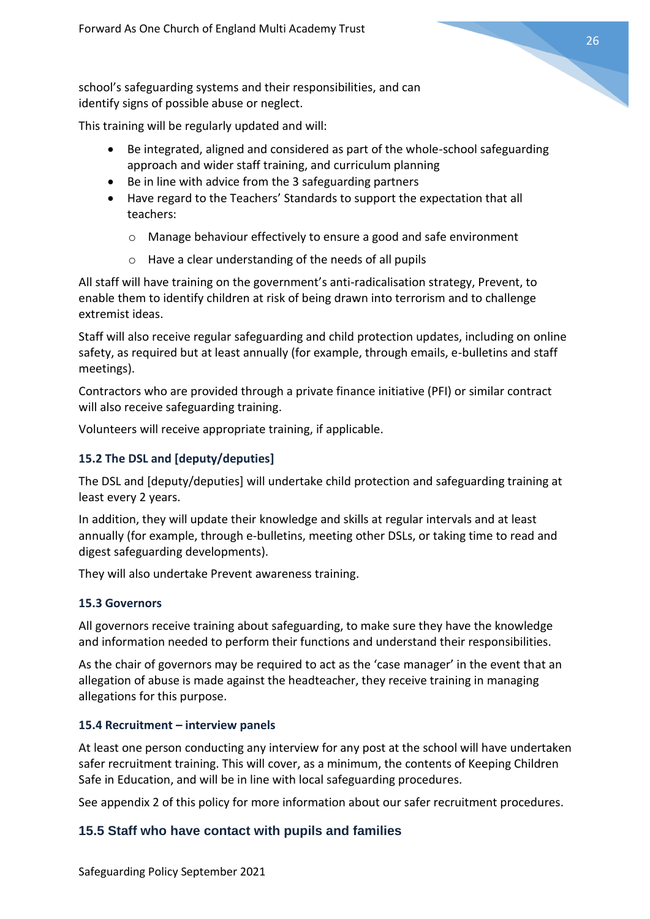school's safeguarding systems and their responsibilities, and can identify signs of possible abuse or neglect.

This training will be regularly updated and will:

- Be integrated, aligned and considered as part of the whole-school safeguarding approach and wider staff training, and curriculum planning
- Be in line with advice from the 3 safeguarding partners
- Have regard to the Teachers' Standards to support the expectation that all teachers:
	- o Manage behaviour effectively to ensure a good and safe environment
	- o Have a clear understanding of the needs of all pupils

All staff will have training on the government's anti-radicalisation strategy, Prevent, to enable them to identify children at risk of being drawn into terrorism and to challenge extremist ideas.

Staff will also receive regular safeguarding and child protection updates, including on online safety, as required but at least annually (for example, through emails, e-bulletins and staff meetings).

Contractors who are provided through a private finance initiative (PFI) or similar contract will also receive safeguarding training.

Volunteers will receive appropriate training, if applicable.

## **15.2 The DSL and [deputy/deputies]**

The DSL and [deputy/deputies] will undertake child protection and safeguarding training at least every 2 years.

In addition, they will update their knowledge and skills at regular intervals and at least annually (for example, through e-bulletins, meeting other DSLs, or taking time to read and digest safeguarding developments).

They will also undertake Prevent awareness training.

### **15.3 Governors**

All governors receive training about safeguarding, to make sure they have the knowledge and information needed to perform their functions and understand their responsibilities.

As the chair of governors may be required to act as the 'case manager' in the event that an allegation of abuse is made against the headteacher, they receive training in managing allegations for this purpose.

### **15.4 Recruitment – interview panels**

At least one person conducting any interview for any post at the school will have undertaken safer recruitment training. This will cover, as a minimum, the contents of Keeping Children Safe in Education, and will be in line with local safeguarding procedures.

See appendix 2 of this policy for more information about our safer recruitment procedures.

## **15.5 Staff who have contact with pupils and families**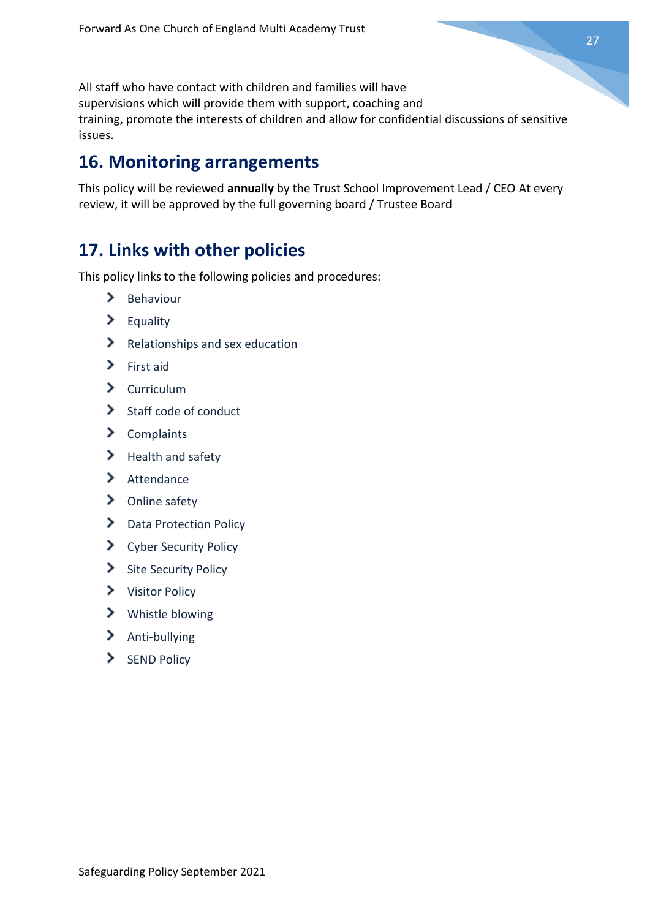All staff who have contact with children and families will have supervisions which will provide them with support, coaching and training, promote the interests of children and allow for confidential discussions of sensitive issues.

## <span id="page-26-0"></span>**16. Monitoring arrangements**

This policy will be reviewed **annually** by the Trust School Improvement Lead / CEO At every review, it will be approved by the full governing board / Trustee Board

## <span id="page-26-1"></span>**17. Links with other policies**

This policy links to the following policies and procedures:

- > Behaviour
- Equality
- > Relationships and sex education
- $\sum$  First aid
- > Curriculum
- $\sum$  Staff code of conduct
- > Complaints
- $\blacktriangleright$  Health and safety
- > Attendance
- > Online safety
- > Data Protection Policy
- > Cyber Security Policy
- > Site Security Policy
- > Visitor Policy
- > Whistle blowing
- > Anti-bullying
- > SEND Policy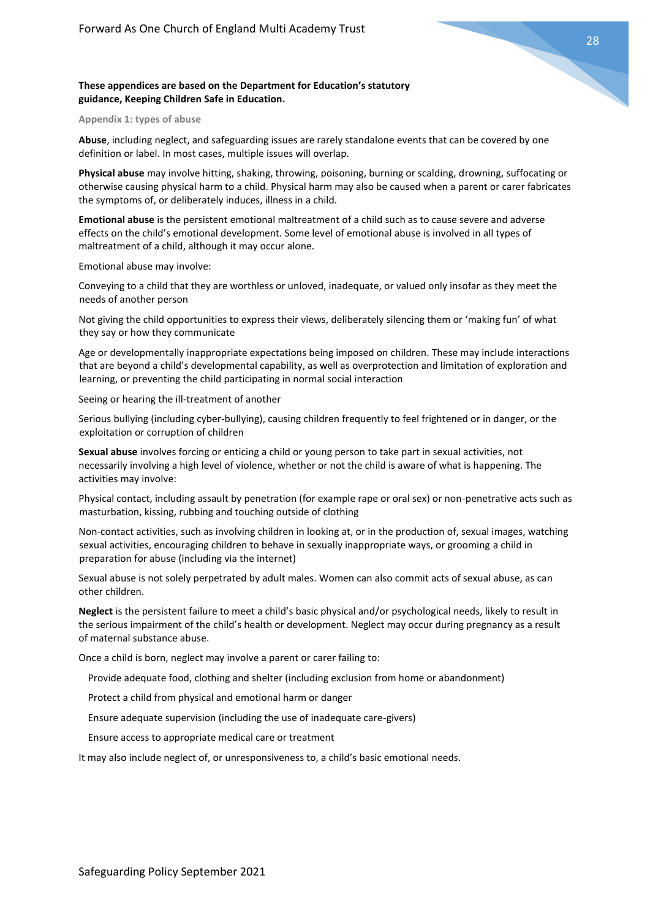#### **These appendices are based on the Department for Education's statutory guidance, Keeping Children Safe in Education.**

#### <span id="page-27-0"></span>**Appendix 1: types of abuse**

**Abuse**, including neglect, and safeguarding issues are rarely standalone events that can be covered by one definition or label. In most cases, multiple issues will overlap.

**Physical abuse** may involve hitting, shaking, throwing, poisoning, burning or scalding, drowning, suffocating or otherwise causing physical harm to a child. Physical harm may also be caused when a parent or carer fabricates the symptoms of, or deliberately induces, illness in a child.

**Emotional abuse** is the persistent emotional maltreatment of a child such as to cause severe and adverse effects on the child's emotional development. Some level of emotional abuse is involved in all types of maltreatment of a child, although it may occur alone.

Emotional abuse may involve:

Conveying to a child that they are worthless or unloved, inadequate, or valued only insofar as they meet the needs of another person

Not giving the child opportunities to express their views, deliberately silencing them or 'making fun' of what they say or how they communicate

Age or developmentally inappropriate expectations being imposed on children. These may include interactions that are beyond a child's developmental capability, as well as overprotection and limitation of exploration and learning, or preventing the child participating in normal social interaction

Seeing or hearing the ill-treatment of another

Serious bullying (including cyber-bullying), causing children frequently to feel frightened or in danger, or the exploitation or corruption of children

**Sexual abuse** involves forcing or enticing a child or young person to take part in sexual activities, not necessarily involving a high level of violence, whether or not the child is aware of what is happening. The activities may involve:

Physical contact, including assault by penetration (for example rape or oral sex) or non-penetrative acts such as masturbation, kissing, rubbing and touching outside of clothing

Non-contact activities, such as involving children in looking at, or in the production of, sexual images, watching sexual activities, encouraging children to behave in sexually inappropriate ways, or grooming a child in preparation for abuse (including via the internet)

Sexual abuse is not solely perpetrated by adult males. Women can also commit acts of sexual abuse, as can other children.

**Neglect** is the persistent failure to meet a child's basic physical and/or psychological needs, likely to result in the serious impairment of the child's health or development. Neglect may occur during pregnancy as a result of maternal substance abuse.

Once a child is born, neglect may involve a parent or carer failing to:

Provide adequate food, clothing and shelter (including exclusion from home or abandonment)

Protect a child from physical and emotional harm or danger

Ensure adequate supervision (including the use of inadequate care-givers)

Ensure access to appropriate medical care or treatment

It may also include neglect of, or unresponsiveness to, a child's basic emotional needs.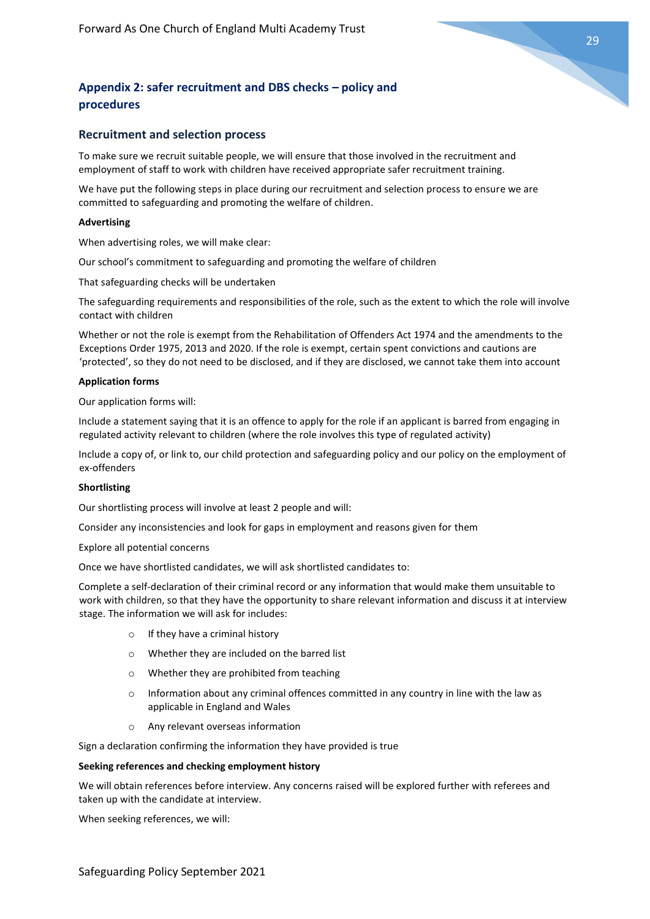## <span id="page-28-0"></span>**Appendix 2: safer recruitment and DBS checks – policy and procedures**

#### **Recruitment and selection process**

To make sure we recruit suitable people, we will ensure that those involved in the recruitment and employment of staff to work with children have received appropriate safer recruitment training.

We have put the following steps in place during our recruitment and selection process to ensure we are committed to safeguarding and promoting the welfare of children.

#### **Advertising**

When advertising roles, we will make clear:

Our school's commitment to safeguarding and promoting the welfare of children

That safeguarding checks will be undertaken

The safeguarding requirements and responsibilities of the role, such as the extent to which the role will involve contact with children

Whether or not the role is exempt from the Rehabilitation of Offenders Act 1974 and the amendments to the Exceptions Order 1975, 2013 and 2020. If the role is exempt, certain spent convictions and cautions are 'protected', so they do not need to be disclosed, and if they are disclosed, we cannot take them into account

#### **Application forms**

Our application forms will:

Include a statement saying that it is an offence to apply for the role if an applicant is barred from engaging in regulated activity relevant to children (where the role involves this type of regulated activity)

Include a copy of, or link to, our child protection and safeguarding policy and our policy on the employment of ex-offenders

#### **Shortlisting**

Our shortlisting process will involve at least 2 people and will:

Consider any inconsistencies and look for gaps in employment and reasons given for them

Explore all potential concerns

Once we have shortlisted candidates, we will ask shortlisted candidates to:

Complete a self-declaration of their criminal record or any information that would make them unsuitable to work with children, so that they have the opportunity to share relevant information and discuss it at interview stage. The information we will ask for includes:

- o If they have a criminal history
- o Whether they are included on the barred list
- o Whether they are prohibited from teaching
- $\circ$  Information about any criminal offences committed in any country in line with the law as applicable in England and Wales
- o Any relevant overseas information

Sign a declaration confirming the information they have provided is true

#### **Seeking references and checking employment history**

We will obtain references before interview. Any concerns raised will be explored further with referees and taken up with the candidate at interview.

When seeking references, we will: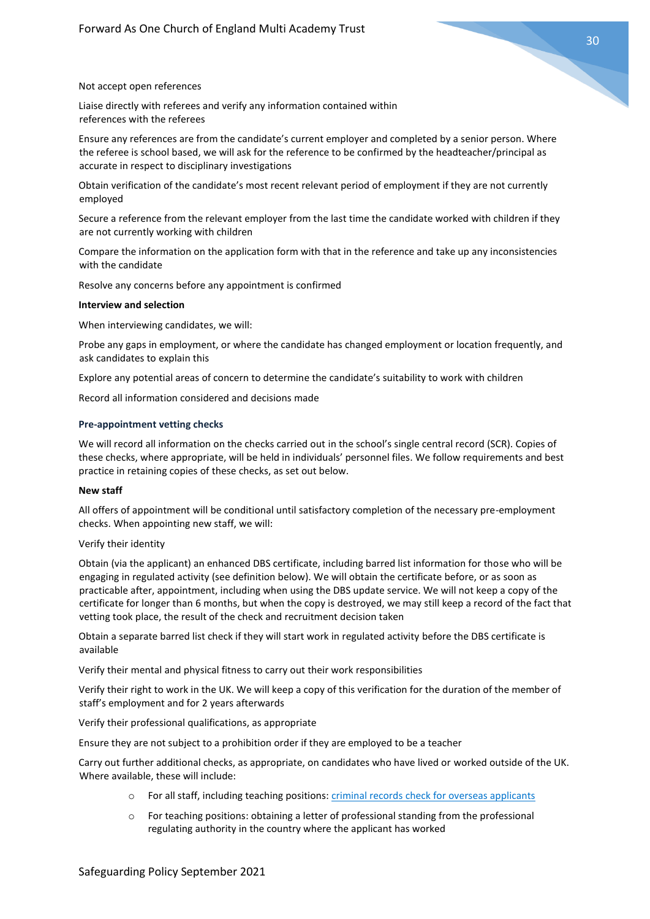Not accept open references

Liaise directly with referees and verify any information contained within references with the referees

Ensure any references are from the candidate's current employer and completed by a senior person. Where the referee is school based, we will ask for the reference to be confirmed by the headteacher/principal as accurate in respect to disciplinary investigations

Obtain verification of the candidate's most recent relevant period of employment if they are not currently employed

Secure a reference from the relevant employer from the last time the candidate worked with children if they are not currently working with children

Compare the information on the application form with that in the reference and take up any inconsistencies with the candidate

Resolve any concerns before any appointment is confirmed

#### **Interview and selection**

When interviewing candidates, we will:

Probe any gaps in employment, or where the candidate has changed employment or location frequently, and ask candidates to explain this

Explore any potential areas of concern to determine the candidate's suitability to work with children

Record all information considered and decisions made

#### **Pre-appointment vetting checks**

We will record all information on the checks carried out in the school's single central record (SCR). Copies of these checks, where appropriate, will be held in individuals' personnel files. We follow requirements and best practice in retaining copies of these checks, as set out below.

#### **New staff**

All offers of appointment will be conditional until satisfactory completion of the necessary pre-employment checks. When appointing new staff, we will:

#### Verify their identity

Obtain (via the applicant) an enhanced DBS certificate, including barred list information for those who will be engaging in regulated activity (see definition below). We will obtain the certificate before, or as soon as practicable after, appointment, including when using the DBS update service. We will not keep a copy of the certificate for longer than 6 months, but when the copy is destroyed, we may still keep a record of the fact that vetting took place, the result of the check and recruitment decision taken

Obtain a separate barred list check if they will start work in regulated activity before the DBS certificate is available

Verify their mental and physical fitness to carry out their work responsibilities

Verify their right to work in the UK. We will keep a copy of this verification for the duration of the member of staff's employment and for 2 years afterwards

Verify their professional qualifications, as appropriate

Ensure they are not subject to a prohibition order if they are employed to be a teacher

Carry out further additional checks, as appropriate, on candidates who have lived or worked outside of the UK. Where available, these will include:

- o For all staff, including teaching positions[: criminal records check](https://www.gov.uk/government/publications/criminal-records-checks-for-overseas-applicants) for overseas applicants
- o For teaching positions: obtaining a letter of professional standing from the professional regulating authority in the country where the applicant has worked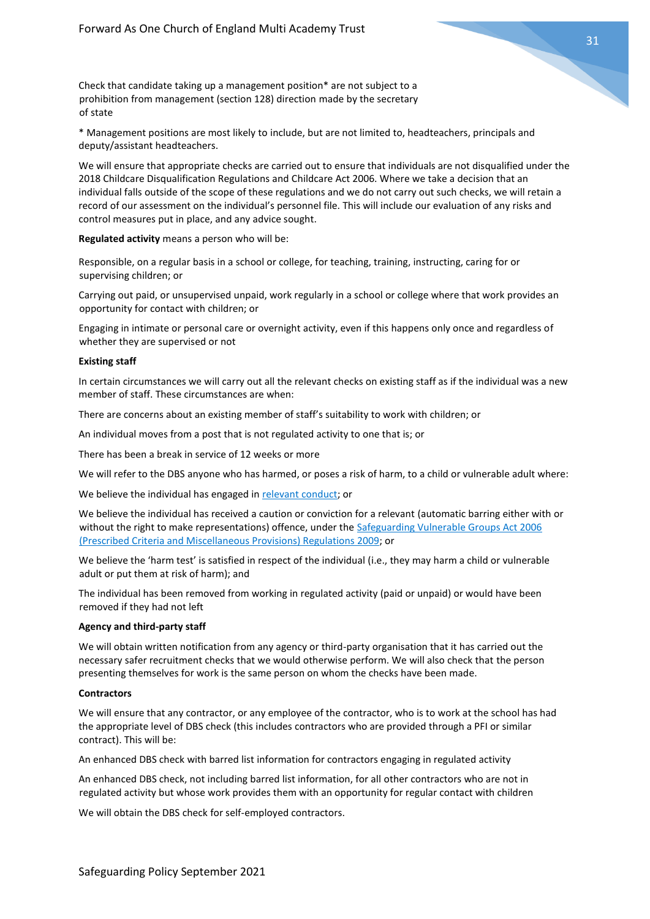Check that candidate taking up a management position\* are not subject to a prohibition from management (section 128) direction made by the secretary of state

\* Management positions are most likely to include, but are not limited to, headteachers, principals and deputy/assistant headteachers.

We will ensure that appropriate checks are carried out to ensure that individuals are not disqualified under the 2018 Childcare Disqualification Regulations and Childcare Act 2006. Where we take a decision that an individual falls outside of the scope of these regulations and we do not carry out such checks, we will retain a record of our assessment on the individual's personnel file. This will include our evaluation of any risks and control measures put in place, and any advice sought.

**Regulated activity** means a person who will be:

Responsible, on a regular basis in a school or college, for teaching, training, instructing, caring for or supervising children; or

Carrying out paid, or unsupervised unpaid, work regularly in a school or college where that work provides an opportunity for contact with children; or

Engaging in intimate or personal care or overnight activity, even if this happens only once and regardless of whether they are supervised or not

#### **Existing staff**

In certain circumstances we will carry out all the relevant checks on existing staff as if the individual was a new member of staff. These circumstances are when:

There are concerns about an existing member of staff's suitability to work with children; or

An individual moves from a post that is not regulated activity to one that is; or

There has been a break in service of 12 weeks or more

We will refer to the DBS anyone who has harmed, or poses a risk of harm, to a child or vulnerable adult where:

We believe the individual has engaged in [relevant conduct;](https://www.gov.uk/guidance/making-barring-referrals-to-the-dbs#relevant-conduct-in-relation-to-children) or

We believe the individual has received a caution or conviction for a relevant (automatic barring either with or without the right to make representations) offence, under the [Safeguarding Vulnerable Groups Act 2006](http://www.legislation.gov.uk/uksi/2009/37/contents/made)  [\(Prescribed Criteria and Miscellaneous Provisions\) Regulations 2009;](http://www.legislation.gov.uk/uksi/2009/37/contents/made) or

We believe the 'harm test' is satisfied in respect of the individual (i.e., they may harm a child or vulnerable adult or put them at risk of harm); and

The individual has been removed from working in regulated activity (paid or unpaid) or would have been removed if they had not left

#### **Agency and third-party staff**

We will obtain written notification from any agency or third-party organisation that it has carried out the necessary safer recruitment checks that we would otherwise perform. We will also check that the person presenting themselves for work is the same person on whom the checks have been made.

#### **Contractors**

We will ensure that any contractor, or any employee of the contractor, who is to work at the school has had the appropriate level of DBS check (this includes contractors who are provided through a PFI or similar contract). This will be:

An enhanced DBS check with barred list information for contractors engaging in regulated activity

An enhanced DBS check, not including barred list information, for all other contractors who are not in regulated activity but whose work provides them with an opportunity for regular contact with children

We will obtain the DBS check for self-employed contractors.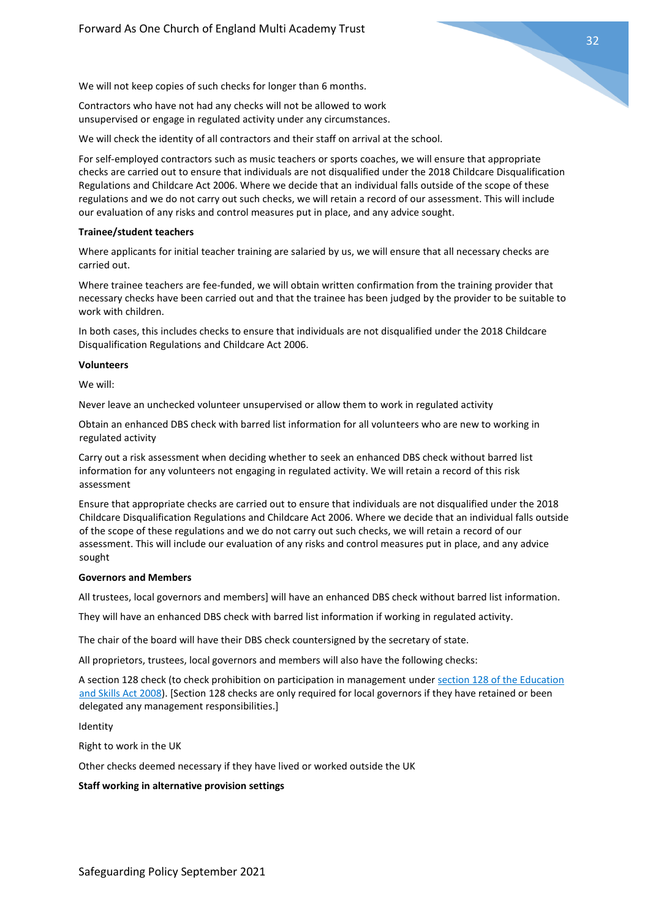We will not keep copies of such checks for longer than 6 months.

Contractors who have not had any checks will not be allowed to work unsupervised or engage in regulated activity under any circumstances.

We will check the identity of all contractors and their staff on arrival at the school.

For self-employed contractors such as music teachers or sports coaches, we will ensure that appropriate checks are carried out to ensure that individuals are not disqualified under the 2018 Childcare Disqualification Regulations and Childcare Act 2006. Where we decide that an individual falls outside of the scope of these regulations and we do not carry out such checks, we will retain a record of our assessment. This will include our evaluation of any risks and control measures put in place, and any advice sought.

#### **Trainee/student teachers**

Where applicants for initial teacher training are salaried by us, we will ensure that all necessary checks are carried out.

Where trainee teachers are fee-funded, we will obtain written confirmation from the training provider that necessary checks have been carried out and that the trainee has been judged by the provider to be suitable to work with children.

In both cases, this includes checks to ensure that individuals are not disqualified under the 2018 Childcare Disqualification Regulations and Childcare Act 2006.

#### **Volunteers**

We will:

Never leave an unchecked volunteer unsupervised or allow them to work in regulated activity

Obtain an enhanced DBS check with barred list information for all volunteers who are new to working in regulated activity

Carry out a risk assessment when deciding whether to seek an enhanced DBS check without barred list information for any volunteers not engaging in regulated activity. We will retain a record of this risk assessment

Ensure that appropriate checks are carried out to ensure that individuals are not disqualified under the 2018 Childcare Disqualification Regulations and Childcare Act 2006. Where we decide that an individual falls outside of the scope of these regulations and we do not carry out such checks, we will retain a record of our assessment. This will include our evaluation of any risks and control measures put in place, and any advice sought

#### **Governors and Members**

All trustees, local governors and members] will have an enhanced DBS check without barred list information.

They will have an enhanced DBS check with barred list information if working in regulated activity.

The chair of the board will have their DBS check countersigned by the secretary of state.

All proprietors, trustees, local governors and members will also have the following checks:

A section 128 check (to check prohibition on participation in management under [section 128 of the Education](https://www.legislation.gov.uk/ukpga/2008/25/section/128)  [and Skills Act 2008\)](https://www.legislation.gov.uk/ukpga/2008/25/section/128). [Section 128 checks are only required for local governors if they have retained or been delegated any management responsibilities.]

Identity

Right to work in the UK

Other checks deemed necessary if they have lived or worked outside the UK

#### **Staff working in alternative provision settings**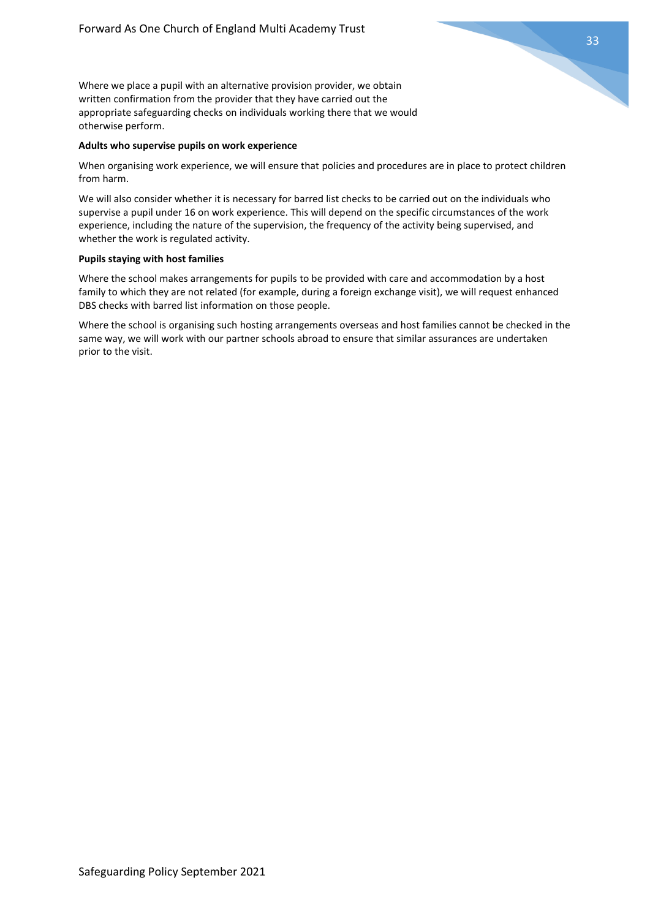Where we place a pupil with an alternative provision provider, we obtain written confirmation from the provider that they have carried out the appropriate safeguarding checks on individuals working there that we would otherwise perform.

#### **Adults who supervise pupils on work experience**

When organising work experience, we will ensure that policies and procedures are in place to protect children from harm.

We will also consider whether it is necessary for barred list checks to be carried out on the individuals who supervise a pupil under 16 on work experience. This will depend on the specific circumstances of the work experience, including the nature of the supervision, the frequency of the activity being supervised, and whether the work is regulated activity.

#### **Pupils staying with host families**

Where the school makes arrangements for pupils to be provided with care and accommodation by a host family to which they are not related (for example, during a foreign exchange visit), we will request enhanced DBS checks with barred list information on those people.

Where the school is organising such hosting arrangements overseas and host families cannot be checked in the same way, we will work with our partner schools abroad to ensure that similar assurances are undertaken prior to the visit.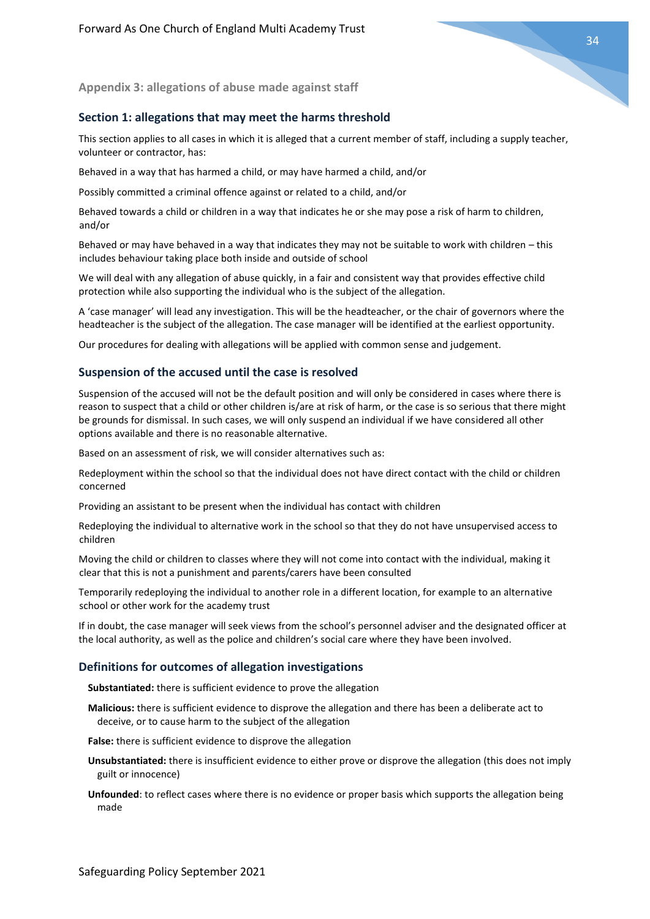

<span id="page-33-0"></span>**Appendix 3: allegations of abuse made against staff**

#### **Section 1: allegations that may meet the harms threshold**

This section applies to all cases in which it is alleged that a current member of staff, including a supply teacher, volunteer or contractor, has:

Behaved in a way that has harmed a child, or may have harmed a child, and/or

Possibly committed a criminal offence against or related to a child, and/or

Behaved towards a child or children in a way that indicates he or she may pose a risk of harm to children, and/or

Behaved or may have behaved in a way that indicates they may not be suitable to work with children – this includes behaviour taking place both inside and outside of school

We will deal with any allegation of abuse quickly, in a fair and consistent way that provides effective child protection while also supporting the individual who is the subject of the allegation.

A 'case manager' will lead any investigation. This will be the headteacher, or the chair of governors where the headteacher is the subject of the allegation. The case manager will be identified at the earliest opportunity.

Our procedures for dealing with allegations will be applied with common sense and judgement.

#### **Suspension of the accused until the case is resolved**

Suspension of the accused will not be the default position and will only be considered in cases where there is reason to suspect that a child or other children is/are at risk of harm, or the case is so serious that there might be grounds for dismissal. In such cases, we will only suspend an individual if we have considered all other options available and there is no reasonable alternative.

Based on an assessment of risk, we will consider alternatives such as:

Redeployment within the school so that the individual does not have direct contact with the child or children concerned

Providing an assistant to be present when the individual has contact with children

Redeploying the individual to alternative work in the school so that they do not have unsupervised access to children

Moving the child or children to classes where they will not come into contact with the individual, making it clear that this is not a punishment and parents/carers have been consulted

Temporarily redeploying the individual to another role in a different location, for example to an alternative school or other work for the academy trust

If in doubt, the case manager will seek views from the school's personnel adviser and the designated officer at the local authority, as well as the police and children's social care where they have been involved.

### **Definitions for outcomes of allegation investigations**

**Substantiated:** there is sufficient evidence to prove the allegation

**Malicious:** there is sufficient evidence to disprove the allegation and there has been a deliberate act to deceive, or to cause harm to the subject of the allegation

**False:** there is sufficient evidence to disprove the allegation

- **Unsubstantiated:** there is insufficient evidence to either prove or disprove the allegation (this does not imply guilt or innocence)
- **Unfounded**: to reflect cases where there is no evidence or proper basis which supports the allegation being made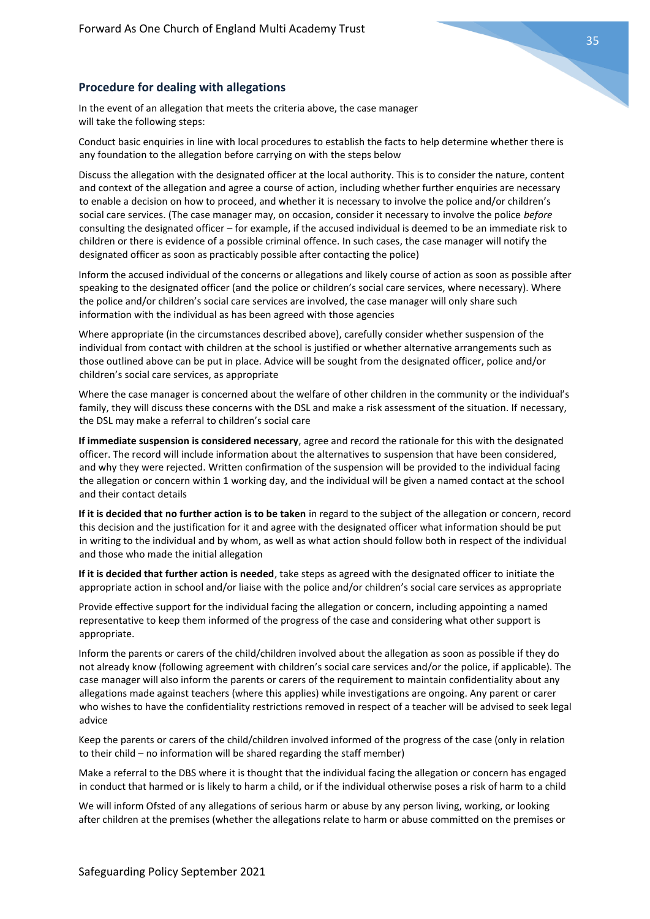#### **Procedure for dealing with allegations**

In the event of an allegation that meets the criteria above, the case manager will take the following steps:

Conduct basic enquiries in line with local procedures to establish the facts to help determine whether there is any foundation to the allegation before carrying on with the steps below

Discuss the allegation with the designated officer at the local authority. This is to consider the nature, content and context of the allegation and agree a course of action, including whether further enquiries are necessary to enable a decision on how to proceed, and whether it is necessary to involve the police and/or children's social care services. (The case manager may, on occasion, consider it necessary to involve the police *before* consulting the designated officer – for example, if the accused individual is deemed to be an immediate risk to children or there is evidence of a possible criminal offence. In such cases, the case manager will notify the designated officer as soon as practicably possible after contacting the police)

Inform the accused individual of the concerns or allegations and likely course of action as soon as possible after speaking to the designated officer (and the police or children's social care services, where necessary). Where the police and/or children's social care services are involved, the case manager will only share such information with the individual as has been agreed with those agencies

Where appropriate (in the circumstances described above), carefully consider whether suspension of the individual from contact with children at the school is justified or whether alternative arrangements such as those outlined above can be put in place. Advice will be sought from the designated officer, police and/or children's social care services, as appropriate

Where the case manager is concerned about the welfare of other children in the community or the individual's family, they will discuss these concerns with the DSL and make a risk assessment of the situation. If necessary, the DSL may make a referral to children's social care

**If immediate suspension is considered necessary**, agree and record the rationale for this with the designated officer. The record will include information about the alternatives to suspension that have been considered, and why they were rejected. Written confirmation of the suspension will be provided to the individual facing the allegation or concern within 1 working day, and the individual will be given a named contact at the school and their contact details

**If it is decided that no further action is to be taken** in regard to the subject of the allegation or concern, record this decision and the justification for it and agree with the designated officer what information should be put in writing to the individual and by whom, as well as what action should follow both in respect of the individual and those who made the initial allegation

**If it is decided that further action is needed**, take steps as agreed with the designated officer to initiate the appropriate action in school and/or liaise with the police and/or children's social care services as appropriate

Provide effective support for the individual facing the allegation or concern, including appointing a named representative to keep them informed of the progress of the case and considering what other support is appropriate.

Inform the parents or carers of the child/children involved about the allegation as soon as possible if they do not already know (following agreement with children's social care services and/or the police, if applicable). The case manager will also inform the parents or carers of the requirement to maintain confidentiality about any allegations made against teachers (where this applies) while investigations are ongoing. Any parent or carer who wishes to have the confidentiality restrictions removed in respect of a teacher will be advised to seek legal advice

Keep the parents or carers of the child/children involved informed of the progress of the case (only in relation to their child – no information will be shared regarding the staff member)

Make a referral to the DBS where it is thought that the individual facing the allegation or concern has engaged in conduct that harmed or is likely to harm a child, or if the individual otherwise poses a risk of harm to a child

We will inform Ofsted of any allegations of serious harm or abuse by any person living, working, or looking after children at the premises (whether the allegations relate to harm or abuse committed on the premises or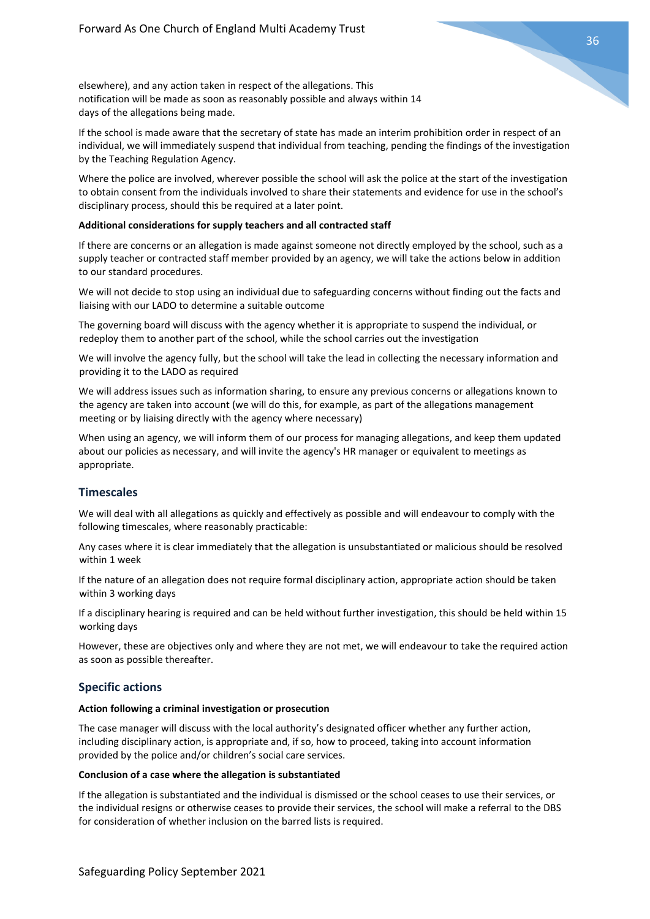elsewhere), and any action taken in respect of the allegations. This notification will be made as soon as reasonably possible and always within 14 days of the allegations being made.

If the school is made aware that the secretary of state has made an interim prohibition order in respect of an individual, we will immediately suspend that individual from teaching, pending the findings of the investigation by the Teaching Regulation Agency.

Where the police are involved, wherever possible the school will ask the police at the start of the investigation to obtain consent from the individuals involved to share their statements and evidence for use in the school's disciplinary process, should this be required at a later point.

#### **Additional considerations for supply teachers and all contracted staff**

If there are concerns or an allegation is made against someone not directly employed by the school, such as a supply teacher or contracted staff member provided by an agency, we will take the actions below in addition to our standard procedures.

We will not decide to stop using an individual due to safeguarding concerns without finding out the facts and liaising with our LADO to determine a suitable outcome

The governing board will discuss with the agency whether it is appropriate to suspend the individual, or redeploy them to another part of the school, while the school carries out the investigation

We will involve the agency fully, but the school will take the lead in collecting the necessary information and providing it to the LADO as required

We will address issues such as information sharing, to ensure any previous concerns or allegations known to the agency are taken into account (we will do this, for example, as part of the allegations management meeting or by liaising directly with the agency where necessary)

When using an agency, we will inform them of our process for managing allegations, and keep them updated about our policies as necessary, and will invite the agency's HR manager or equivalent to meetings as appropriate.

#### **Timescales**

We will deal with all allegations as quickly and effectively as possible and will endeavour to comply with the following timescales, where reasonably practicable:

Any cases where it is clear immediately that the allegation is unsubstantiated or malicious should be resolved within 1 week

If the nature of an allegation does not require formal disciplinary action, appropriate action should be taken within 3 working days

If a disciplinary hearing is required and can be held without further investigation, this should be held within 15 working days

However, these are objectives only and where they are not met, we will endeavour to take the required action as soon as possible thereafter.

#### **Specific actions**

#### **Action following a criminal investigation or prosecution**

The case manager will discuss with the local authority's designated officer whether any further action, including disciplinary action, is appropriate and, if so, how to proceed, taking into account information provided by the police and/or children's social care services.

#### **Conclusion of a case where the allegation is substantiated**

If the allegation is substantiated and the individual is dismissed or the school ceases to use their services, or the individual resigns or otherwise ceases to provide their services, the school will make a referral to the DBS for consideration of whether inclusion on the barred lists is required.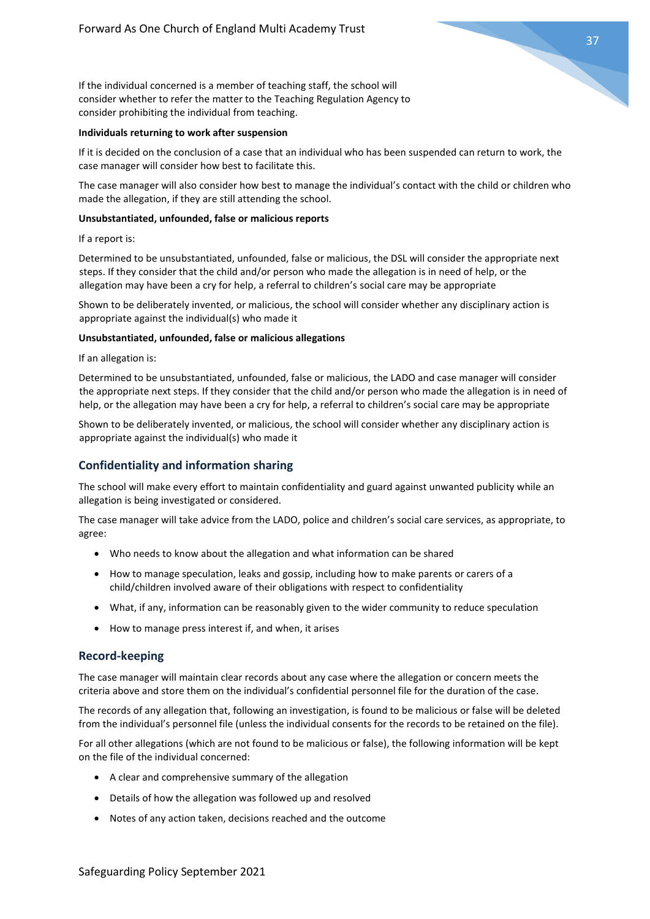If the individual concerned is a member of teaching staff, the school will consider whether to refer the matter to the Teaching Regulation Agency to consider prohibiting the individual from teaching.

#### **Individuals returning to work after suspension**

If it is decided on the conclusion of a case that an individual who has been suspended can return to work, the case manager will consider how best to facilitate this.

The case manager will also consider how best to manage the individual's contact with the child or children who made the allegation, if they are still attending the school.

#### **Unsubstantiated, unfounded, false or malicious reports**

If a report is:

Determined to be unsubstantiated, unfounded, false or malicious, the DSL will consider the appropriate next steps. If they consider that the child and/or person who made the allegation is in need of help, or the allegation may have been a cry for help, a referral to children's social care may be appropriate

Shown to be deliberately invented, or malicious, the school will consider whether any disciplinary action is appropriate against the individual(s) who made it

#### **Unsubstantiated, unfounded, false or malicious allegations**

If an allegation is:

Determined to be unsubstantiated, unfounded, false or malicious, the LADO and case manager will consider the appropriate next steps. If they consider that the child and/or person who made the allegation is in need of help, or the allegation may have been a cry for help, a referral to children's social care may be appropriate

Shown to be deliberately invented, or malicious, the school will consider whether any disciplinary action is appropriate against the individual(s) who made it

#### **Confidentiality and information sharing**

The school will make every effort to maintain confidentiality and guard against unwanted publicity while an allegation is being investigated or considered.

The case manager will take advice from the LADO, police and children's social care services, as appropriate, to agree:

- Who needs to know about the allegation and what information can be shared
- How to manage speculation, leaks and gossip, including how to make parents or carers of a child/children involved aware of their obligations with respect to confidentiality
- What, if any, information can be reasonably given to the wider community to reduce speculation
- How to manage press interest if, and when, it arises

#### **Record-keeping**

The case manager will maintain clear records about any case where the allegation or concern meets the criteria above and store them on the individual's confidential personnel file for the duration of the case.

The records of any allegation that, following an investigation, is found to be malicious or false will be deleted from the individual's personnel file (unless the individual consents for the records to be retained on the file).

For all other allegations (which are not found to be malicious or false), the following information will be kept on the file of the individual concerned:

- A clear and comprehensive summary of the allegation
- Details of how the allegation was followed up and resolved
- Notes of any action taken, decisions reached and the outcome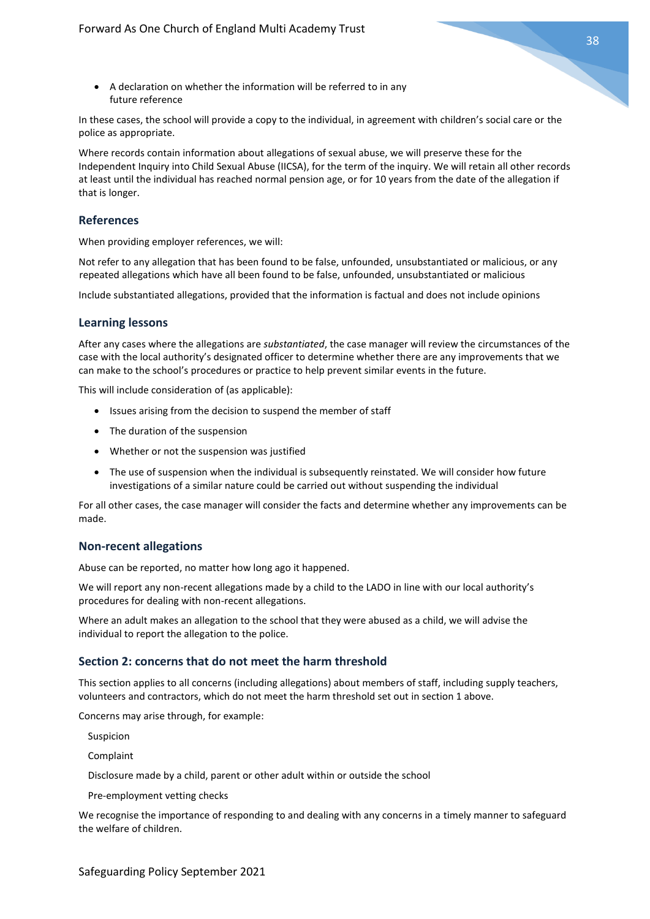• A declaration on whether the information will be referred to in any future reference

In these cases, the school will provide a copy to the individual, in agreement with children's social care or the police as appropriate.

Where records contain information about allegations of sexual abuse, we will preserve these for the Independent Inquiry into Child Sexual Abuse (IICSA), for the term of the inquiry. We will retain all other records at least until the individual has reached normal pension age, or for 10 years from the date of the allegation if that is longer.

### **References**

When providing employer references, we will:

Not refer to any allegation that has been found to be false, unfounded, unsubstantiated or malicious, or any repeated allegations which have all been found to be false, unfounded, unsubstantiated or malicious

Include substantiated allegations, provided that the information is factual and does not include opinions

#### **Learning lessons**

After any cases where the allegations are *substantiated*, the case manager will review the circumstances of the case with the local authority's designated officer to determine whether there are any improvements that we can make to the school's procedures or practice to help prevent similar events in the future.

This will include consideration of (as applicable):

- Issues arising from the decision to suspend the member of staff
- The duration of the suspension
- Whether or not the suspension was justified
- The use of suspension when the individual is subsequently reinstated. We will consider how future investigations of a similar nature could be carried out without suspending the individual

For all other cases, the case manager will consider the facts and determine whether any improvements can be made.

### **Non-recent allegations**

Abuse can be reported, no matter how long ago it happened.

We will report any non-recent allegations made by a child to the LADO in line with our local authority's procedures for dealing with non-recent allegations.

Where an adult makes an allegation to the school that they were abused as a child, we will advise the individual to report the allegation to the police.

#### **Section 2: concerns that do not meet the harm threshold**

This section applies to all concerns (including allegations) about members of staff, including supply teachers, volunteers and contractors, which do not meet the harm threshold set out in section 1 above.

Concerns may arise through, for example:

Suspicion

Complaint

Disclosure made by a child, parent or other adult within or outside the school

Pre-employment vetting checks

We recognise the importance of responding to and dealing with any concerns in a timely manner to safeguard the welfare of children.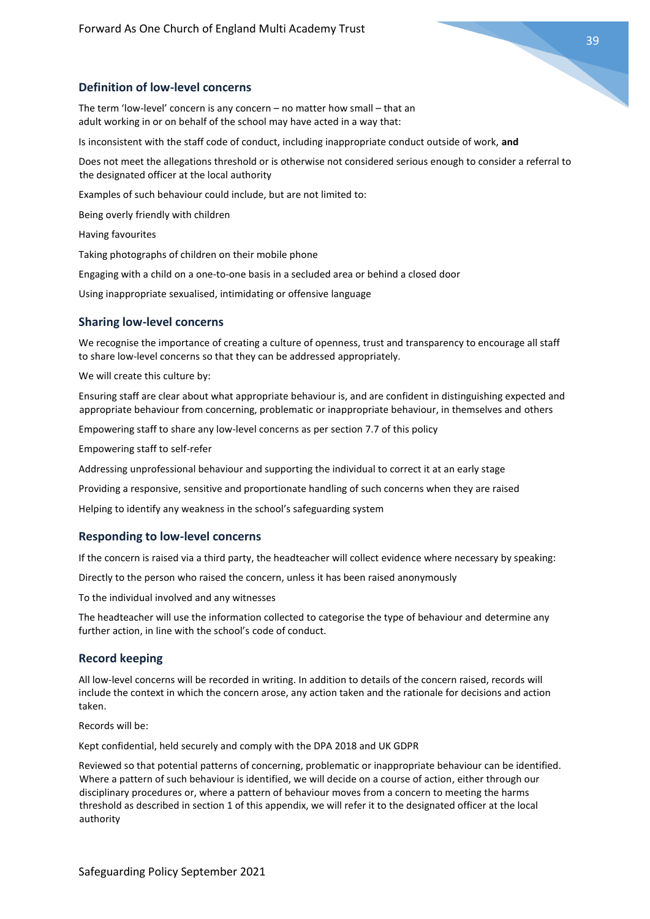### **Definition of low-level concerns**

The term 'low-level' concern is any concern – no matter how small – that an adult working in or on behalf of the school may have acted in a way that:

Is inconsistent with the staff code of conduct, including inappropriate conduct outside of work, **and**

Does not meet the allegations threshold or is otherwise not considered serious enough to consider a referral to the designated officer at the local authority

Examples of such behaviour could include, but are not limited to:

Being overly friendly with children

Having favourites

Taking photographs of children on their mobile phone

Engaging with a child on a one-to-one basis in a secluded area or behind a closed door

Using inappropriate sexualised, intimidating or offensive language

#### **Sharing low-level concerns**

We recognise the importance of creating a culture of openness, trust and transparency to encourage all staff to share low-level concerns so that they can be addressed appropriately.

We will create this culture by:

Ensuring staff are clear about what appropriate behaviour is, and are confident in distinguishing expected and appropriate behaviour from concerning, problematic or inappropriate behaviour, in themselves and others

Empowering staff to share any low-level concerns as per section 7.7 of this policy

Empowering staff to self-refer

Addressing unprofessional behaviour and supporting the individual to correct it at an early stage

Providing a responsive, sensitive and proportionate handling of such concerns when they are raised

Helping to identify any weakness in the school's safeguarding system

#### **Responding to low-level concerns**

If the concern is raised via a third party, the headteacher will collect evidence where necessary by speaking:

Directly to the person who raised the concern, unless it has been raised anonymously

To the individual involved and any witnesses

The headteacher will use the information collected to categorise the type of behaviour and determine any further action, in line with the school's code of conduct.

#### **Record keeping**

All low-level concerns will be recorded in writing. In addition to details of the concern raised, records will include the context in which the concern arose, any action taken and the rationale for decisions and action taken.

Records will be:

Kept confidential, held securely and comply with the DPA 2018 and UK GDPR

Reviewed so that potential patterns of concerning, problematic or inappropriate behaviour can be identified. Where a pattern of such behaviour is identified, we will decide on a course of action, either through our disciplinary procedures or, where a pattern of behaviour moves from a concern to meeting the harms threshold as described in section 1 of this appendix, we will refer it to the designated officer at the local authority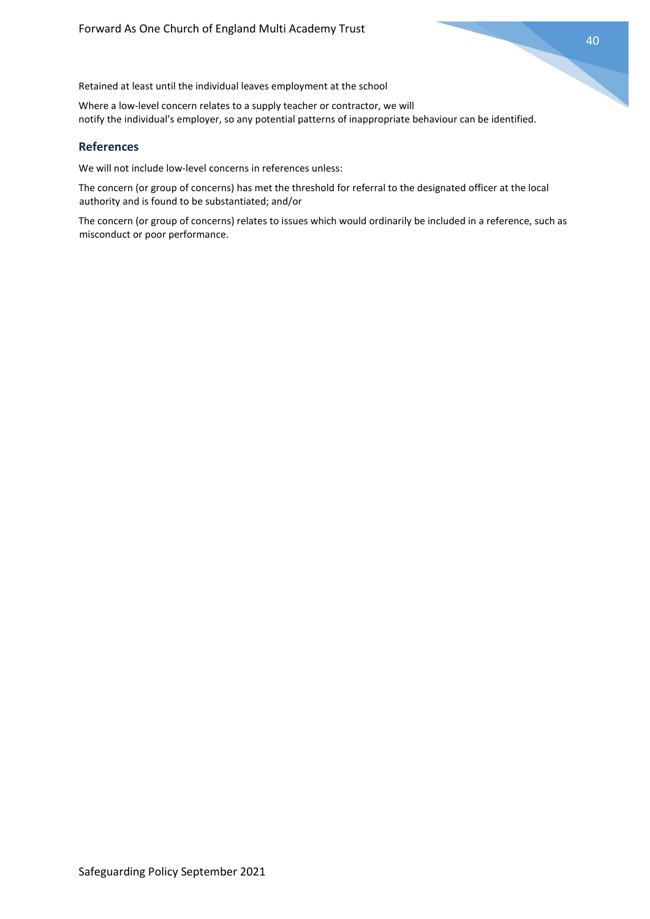Where a low-level concern relates to a supply teacher or contractor, we will notify the individual's employer, so any potential patterns of inappropriate behaviour can be identified.

#### **References**

We will not include low-level concerns in references unless:

The concern (or group of concerns) has met the threshold for referral to the designated officer at the local authority and is found to be substantiated; and/or

The concern (or group of concerns) relates to issues which would ordinarily be included in a reference, such as misconduct or poor performance.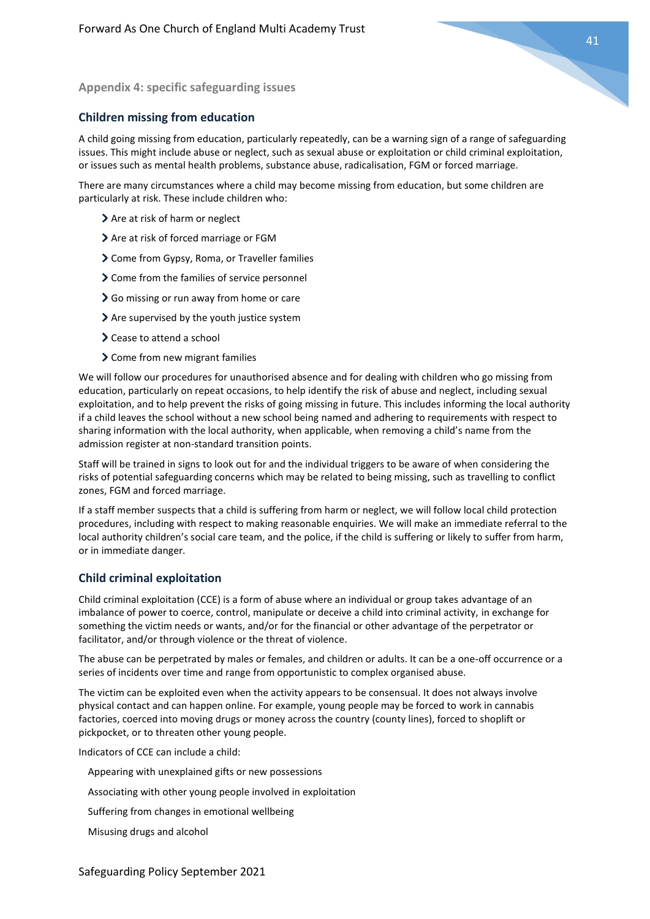

## <span id="page-40-0"></span>**Appendix 4: specific safeguarding issues**

## **Children missing from education**

A child going missing from education, particularly repeatedly, can be a warning sign of a range of safeguarding issues. This might include abuse or neglect, such as sexual abuse or exploitation or child criminal exploitation, or issues such as mental health problems, substance abuse, radicalisation, FGM or forced marriage.

There are many circumstances where a child may become missing from education, but some children are particularly at risk. These include children who:

- > Are at risk of harm or neglect
- > Are at risk of forced marriage or FGM
- Come from Gypsy, Roma, or Traveller families
- > Come from the families of service personnel
- So missing or run away from home or care
- $\geq$  Are supervised by the youth justice system
- > Cease to attend a school
- > Come from new migrant families

We will follow our procedures for unauthorised absence and for dealing with children who go missing from education, particularly on repeat occasions, to help identify the risk of abuse and neglect, including sexual exploitation, and to help prevent the risks of going missing in future. This includes informing the local authority if a child leaves the school without a new school being named and adhering to requirements with respect to sharing information with the local authority, when applicable, when removing a child's name from the admission register at non-standard transition points.

Staff will be trained in signs to look out for and the individual triggers to be aware of when considering the risks of potential safeguarding concerns which may be related to being missing, such as travelling to conflict zones, FGM and forced marriage.

If a staff member suspects that a child is suffering from harm or neglect, we will follow local child protection procedures, including with respect to making reasonable enquiries. We will make an immediate referral to the local authority children's social care team, and the police, if the child is suffering or likely to suffer from harm, or in immediate danger.

## **Child criminal exploitation**

Child criminal exploitation (CCE) is a form of abuse where an individual or group takes advantage of an imbalance of power to coerce, control, manipulate or deceive a child into criminal activity, in exchange for something the victim needs or wants, and/or for the financial or other advantage of the perpetrator or facilitator, and/or through violence or the threat of violence.

The abuse can be perpetrated by males or females, and children or adults. It can be a one-off occurrence or a series of incidents over time and range from opportunistic to complex organised abuse.

The victim can be exploited even when the activity appears to be consensual. It does not always involve physical contact and can happen online. For example, young people may be forced to work in cannabis factories, coerced into moving drugs or money across the country (county lines), forced to shoplift or pickpocket, or to threaten other young people.

Indicators of CCE can include a child:

- Appearing with unexplained gifts or new possessions
- Associating with other young people involved in exploitation
- Suffering from changes in emotional wellbeing
- Misusing drugs and alcohol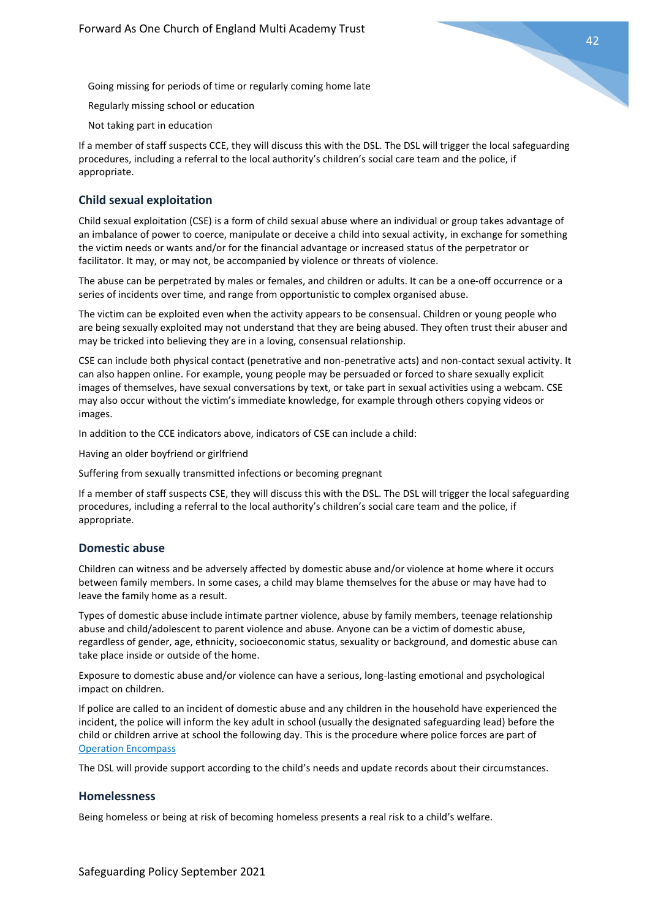

- Going missing for periods of time or regularly coming home late
- Regularly missing school or education
- Not taking part in education

If a member of staff suspects CCE, they will discuss this with the DSL. The DSL will trigger the local safeguarding procedures, including a referral to the local authority's children's social care team and the police, if appropriate.

## **Child sexual exploitation**

Child sexual exploitation (CSE) is a form of child sexual abuse where an individual or group takes advantage of an imbalance of power to coerce, manipulate or deceive a child into sexual activity, in exchange for something the victim needs or wants and/or for the financial advantage or increased status of the perpetrator or facilitator. It may, or may not, be accompanied by violence or threats of violence.

The abuse can be perpetrated by males or females, and children or adults. It can be a one-off occurrence or a series of incidents over time, and range from opportunistic to complex organised abuse.

The victim can be exploited even when the activity appears to be consensual. Children or young people who are being sexually exploited may not understand that they are being abused. They often trust their abuser and may be tricked into believing they are in a loving, consensual relationship.

CSE can include both physical contact (penetrative and non-penetrative acts) and non-contact sexual activity. It can also happen online. For example, young people may be persuaded or forced to share sexually explicit images of themselves, have sexual conversations by text, or take part in sexual activities using a webcam. CSE may also occur without the victim's immediate knowledge, for example through others copying videos or images.

In addition to the CCE indicators above, indicators of CSE can include a child:

Having an older boyfriend or girlfriend

Suffering from sexually transmitted infections or becoming pregnant

If a member of staff suspects CSE, they will discuss this with the DSL. The DSL will trigger the local safeguarding procedures, including a referral to the local authority's children's social care team and the police, if appropriate.

### **Domestic abuse**

Children can witness and be adversely affected by domestic abuse and/or violence at home where it occurs between family members. In some cases, a child may blame themselves for the abuse or may have had to leave the family home as a result.

Types of domestic abuse include intimate partner violence, abuse by family members, teenage relationship abuse and child/adolescent to parent violence and abuse. Anyone can be a victim of domestic abuse, regardless of gender, age, ethnicity, socioeconomic status, sexuality or background, and domestic abuse can take place inside or outside of the home.

Exposure to domestic abuse and/or violence can have a serious, long-lasting emotional and psychological impact on children.

If police are called to an incident of domestic abuse and any children in the household have experienced the incident, the police will inform the key adult in school (usually the designated safeguarding lead) before the child or children arrive at school the following day. This is the procedure where police forces are part of [Operation Encompass](https://www.operationencompass.org/)

The DSL will provide support according to the child's needs and update records about their circumstances.

### **Homelessness**

Being homeless or being at risk of becoming homeless presents a real risk to a child's welfare.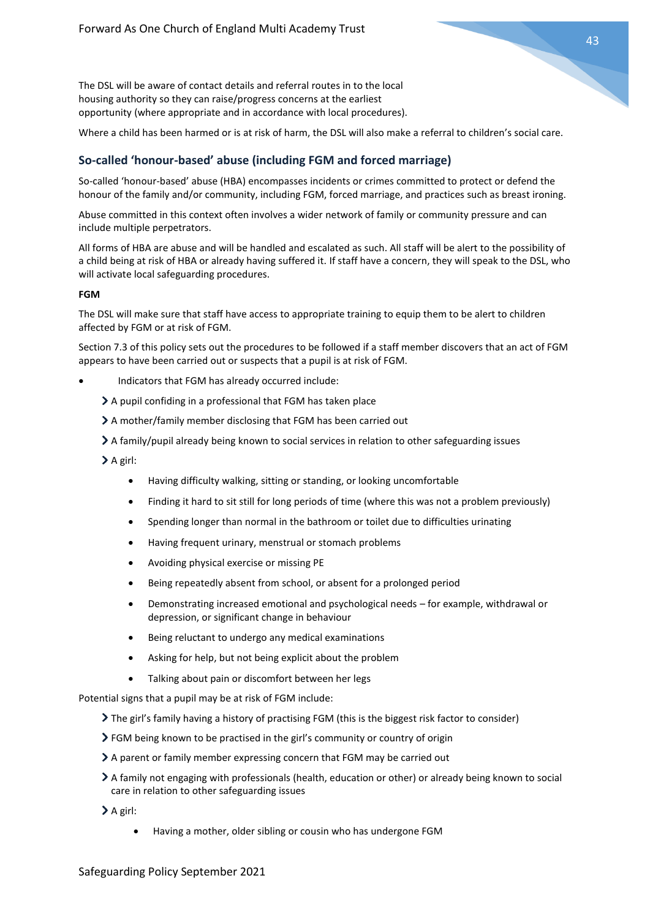The DSL will be aware of contact details and referral routes in to the local housing authority so they can raise/progress concerns at the earliest opportunity (where appropriate and in accordance with local procedures).

Where a child has been harmed or is at risk of harm, the DSL will also make a referral to children's social care.

### **So-called 'honour-based' abuse (including FGM and forced marriage)**

So-called 'honour-based' abuse (HBA) encompasses incidents or crimes committed to protect or defend the honour of the family and/or community, including FGM, forced marriage, and practices such as breast ironing.

Abuse committed in this context often involves a wider network of family or community pressure and can include multiple perpetrators.

All forms of HBA are abuse and will be handled and escalated as such. All staff will be alert to the possibility of a child being at risk of HBA or already having suffered it. If staff have a concern, they will speak to the DSL, who will activate local safeguarding procedures.

#### **FGM**

The DSL will make sure that staff have access to appropriate training to equip them to be alert to children affected by FGM or at risk of FGM.

Section 7.3 of this policy sets out the procedures to be followed if a staff member discovers that an act of FGM appears to have been carried out or suspects that a pupil is at risk of FGM.

- Indicators that FGM has already occurred include:
	- $\geq$  A pupil confiding in a professional that FGM has taken place
	- A mother/family member disclosing that FGM has been carried out
	- A family/pupil already being known to social services in relation to other safeguarding issues

 $\sum A$  girl:

- Having difficulty walking, sitting or standing, or looking uncomfortable
- Finding it hard to sit still for long periods of time (where this was not a problem previously)
- Spending longer than normal in the bathroom or toilet due to difficulties urinating
- Having frequent urinary, menstrual or stomach problems
- Avoiding physical exercise or missing PE
- Being repeatedly absent from school, or absent for a prolonged period
- Demonstrating increased emotional and psychological needs for example, withdrawal or depression, or significant change in behaviour
- Being reluctant to undergo any medical examinations
- Asking for help, but not being explicit about the problem
- Talking about pain or discomfort between her legs

Potential signs that a pupil may be at risk of FGM include:

- The girl's family having a history of practising FGM (this is the biggest risk factor to consider)
- $\geq$  FGM being known to be practised in the girl's community or country of origin
- A parent or family member expressing concern that FGM may be carried out
- A family not engaging with professionals (health, education or other) or already being known to social care in relation to other safeguarding issues

 $\sum A$  girl:

• Having a mother, older sibling or cousin who has undergone FGM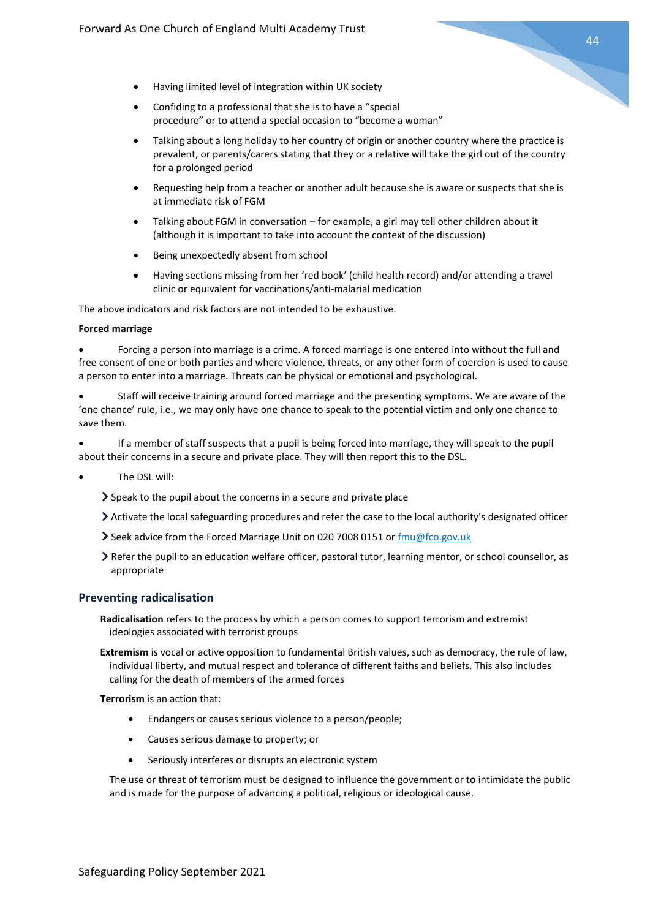- Having limited level of integration within UK society
- Confiding to a professional that she is to have a "special procedure" or to attend a special occasion to "become a woman"
- Talking about a long holiday to her country of origin or another country where the practice is prevalent, or parents/carers stating that they or a relative will take the girl out of the country for a prolonged period
- Requesting help from a teacher or another adult because she is aware or suspects that she is at immediate risk of FGM
- Talking about FGM in conversation for example, a girl may tell other children about it (although it is important to take into account the context of the discussion)
- Being unexpectedly absent from school
- Having sections missing from her 'red book' (child health record) and/or attending a travel clinic or equivalent for vaccinations/anti-malarial medication

The above indicators and risk factors are not intended to be exhaustive.

#### **Forced marriage**

• Forcing a person into marriage is a crime. A forced marriage is one entered into without the full and free consent of one or both parties and where violence, threats, or any other form of coercion is used to cause a person to enter into a marriage. Threats can be physical or emotional and psychological.

• Staff will receive training around forced marriage and the presenting symptoms. We are aware of the 'one chance' rule, i.e., we may only have one chance to speak to the potential victim and only one chance to save them.

• If a member of staff suspects that a pupil is being forced into marriage, they will speak to the pupil about their concerns in a secure and private place. They will then report this to the DSL.

- The DSL will:
	- $\geq$  Speak to the pupil about the concerns in a secure and private place
	- Activate the local safeguarding procedures and refer the case to the local authority's designated officer
	- Seek advice from the Forced Marriage Unit on 020 7008 0151 or [fmu@fco.gov.uk](mailto:fmu@fco.gov.uk)
	- Refer the pupil to an education welfare officer, pastoral tutor, learning mentor, or school counsellor, as appropriate

#### **Preventing radicalisation**

**Radicalisation** refers to the process by which a person comes to support terrorism and extremist ideologies associated with terrorist groups

**Extremism** is vocal or active opposition to fundamental British values, such as democracy, the rule of law, individual liberty, and mutual respect and tolerance of different faiths and beliefs. This also includes calling for the death of members of the armed forces

**Terrorism** is an action that:

- Endangers or causes serious violence to a person/people;
- Causes serious damage to property; or
- Seriously interferes or disrupts an electronic system

The use or threat of terrorism must be designed to influence the government or to intimidate the public and is made for the purpose of advancing a political, religious or ideological cause.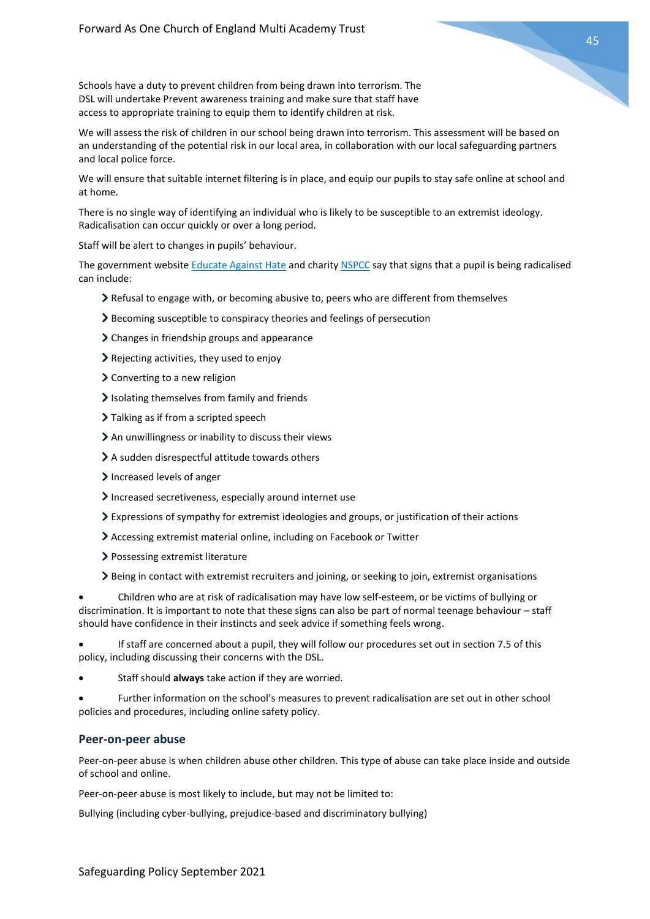Schools have a duty to prevent children from being drawn into terrorism. The DSL will undertake Prevent awareness training and make sure that staff have access to appropriate training to equip them to identify children at risk.

We will assess the risk of children in our school being drawn into terrorism. This assessment will be based on an understanding of the potential risk in our local area, in collaboration with our local safeguarding partners and local police force.

We will ensure that suitable internet filtering is in place, and equip our pupils to stay safe online at school and at home.

There is no single way of identifying an individual who is likely to be susceptible to an extremist ideology. Radicalisation can occur quickly or over a long period.

Staff will be alert to changes in pupils' behaviour.

The government websit[e Educate Against Hate](http://educateagainsthate.com/parents/what-are-the-warning-signs/) and charit[y NSPCC](https://www.nspcc.org.uk/what-you-can-do/report-abuse/dedicated-helplines/protecting-children-from-radicalisation/) say that signs that a pupil is being radicalised can include:

- Refusal to engage with, or becoming abusive to, peers who are different from themselves
- Becoming susceptible to conspiracy theories and feelings of persecution
- > Changes in friendship groups and appearance
- Rejecting activities, they used to enjoy
- > Converting to a new religion
- $\sum$  Isolating themselves from family and friends
- > Talking as if from a scripted speech
- An unwillingness or inability to discuss their views
- A sudden disrespectful attitude towards others
- > Increased levels of anger
- Increased secretiveness, especially around internet use
- Expressions of sympathy for extremist ideologies and groups, or justification of their actions
- Accessing extremist material online, including on Facebook or Twitter
- Possessing extremist literature
- Being in contact with extremist recruiters and joining, or seeking to join, extremist organisations

• Children who are at risk of radicalisation may have low self-esteem, or be victims of bullying or discrimination. It is important to note that these signs can also be part of normal teenage behaviour – staff should have confidence in their instincts and seek advice if something feels wrong.

• If staff are concerned about a pupil, they will follow our procedures set out in section 7.5 of this policy, including discussing their concerns with the DSL.

• Staff should **always** take action if they are worried.

• Further information on the school's measures to prevent radicalisation are set out in other school policies and procedures, including online safety policy.

#### **Peer-on-peer abuse**

Peer-on-peer abuse is when children abuse other children. This type of abuse can take place inside and outside of school and online.

Peer-on-peer abuse is most likely to include, but may not be limited to:

Bullying (including cyber-bullying, prejudice-based and discriminatory bullying)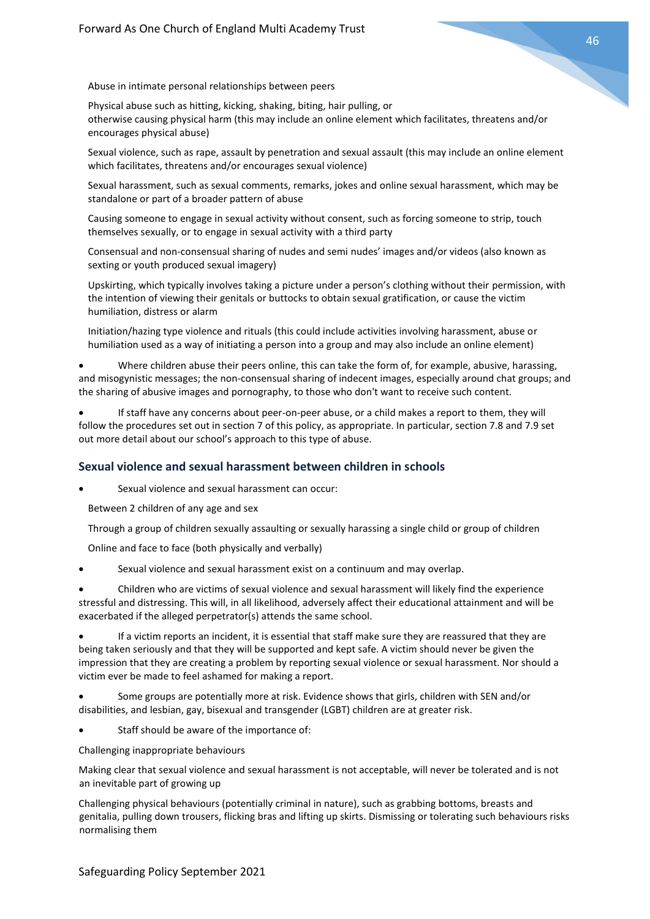Abuse in intimate personal relationships between peers

Physical abuse such as hitting, kicking, shaking, biting, hair pulling, or otherwise causing physical harm (this may include an online element which facilitates, threatens and/or encourages physical abuse)

Sexual violence, such as rape, assault by penetration and sexual assault (this may include an online element which facilitates, threatens and/or encourages sexual violence)

Sexual harassment, such as sexual comments, remarks, jokes and online sexual harassment, which may be standalone or part of a broader pattern of abuse

Causing someone to engage in sexual activity without consent, such as forcing someone to strip, touch themselves sexually, or to engage in sexual activity with a third party

Consensual and non-consensual sharing of nudes and semi nudes' images and/or videos (also known as sexting or youth produced sexual imagery)

Upskirting, which typically involves taking a picture under a person's clothing without their permission, with the intention of viewing their genitals or buttocks to obtain sexual gratification, or cause the victim humiliation, distress or alarm

Initiation/hazing type violence and rituals (this could include activities involving harassment, abuse or humiliation used as a way of initiating a person into a group and may also include an online element)

• Where children abuse their peers online, this can take the form of, for example, abusive, harassing, and misogynistic messages; the non-consensual sharing of indecent images, especially around chat groups; and the sharing of abusive images and pornography, to those who don't want to receive such content.

• If staff have any concerns about peer-on-peer abuse, or a child makes a report to them, they will follow the procedures set out in section 7 of this policy, as appropriate. In particular, section 7.8 and 7.9 set out more detail about our school's approach to this type of abuse.

### **Sexual violence and sexual harassment between children in schools**

• Sexual violence and sexual harassment can occur:

Between 2 children of any age and sex

Through a group of children sexually assaulting or sexually harassing a single child or group of children

Online and face to face (both physically and verbally)

Sexual violence and sexual harassment exist on a continuum and may overlap.

• Children who are victims of sexual violence and sexual harassment will likely find the experience stressful and distressing. This will, in all likelihood, adversely affect their educational attainment and will be exacerbated if the alleged perpetrator(s) attends the same school.

• If a victim reports an incident, it is essential that staff make sure they are reassured that they are being taken seriously and that they will be supported and kept safe. A victim should never be given the impression that they are creating a problem by reporting sexual violence or sexual harassment. Nor should a victim ever be made to feel ashamed for making a report.

• Some groups are potentially more at risk. Evidence shows that girls, children with SEN and/or disabilities, and lesbian, gay, bisexual and transgender (LGBT) children are at greater risk.

Staff should be aware of the importance of:

Challenging inappropriate behaviours

Making clear that sexual violence and sexual harassment is not acceptable, will never be tolerated and is not an inevitable part of growing up

Challenging physical behaviours (potentially criminal in nature), such as grabbing bottoms, breasts and genitalia, pulling down trousers, flicking bras and lifting up skirts. Dismissing or tolerating such behaviours risks normalising them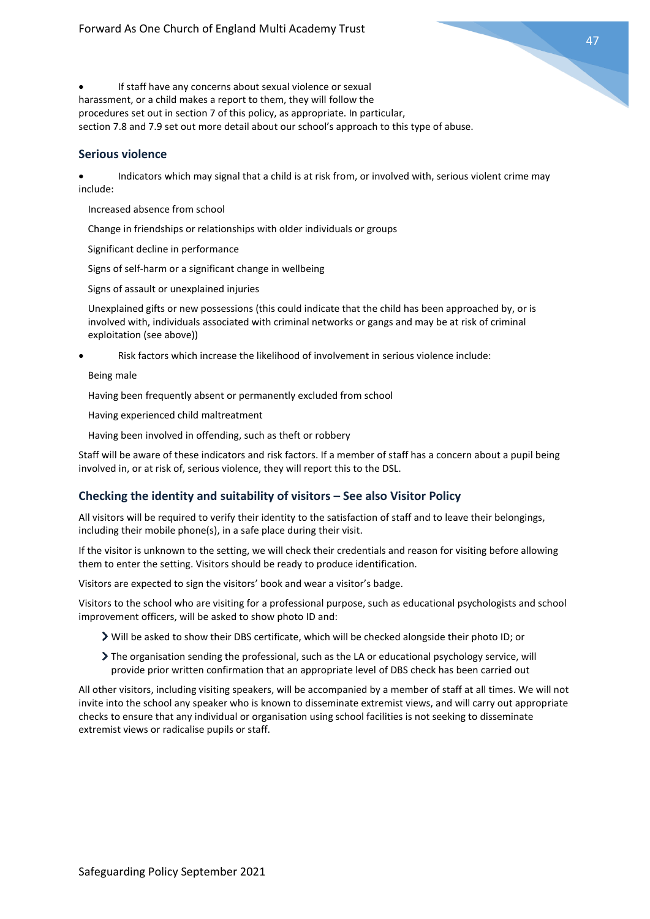If staff have any concerns about sexual violence or sexual

harassment, or a child makes a report to them, they will follow the procedures set out in section 7 of this policy, as appropriate. In particular, section 7.8 and 7.9 set out more detail about our school's approach to this type of abuse.

### **Serious violence**

• Indicators which may signal that a child is at risk from, or involved with, serious violent crime may include:

Increased absence from school

Change in friendships or relationships with older individuals or groups

Significant decline in performance

Signs of self-harm or a significant change in wellbeing

Signs of assault or unexplained injuries

Unexplained gifts or new possessions (this could indicate that the child has been approached by, or is involved with, individuals associated with criminal networks or gangs and may be at risk of criminal exploitation (see above))

• Risk factors which increase the likelihood of involvement in serious violence include:

Being male

Having been frequently absent or permanently excluded from school

Having experienced child maltreatment

Having been involved in offending, such as theft or robbery

Staff will be aware of these indicators and risk factors. If a member of staff has a concern about a pupil being involved in, or at risk of, serious violence, they will report this to the DSL.

### **Checking the identity and suitability of visitors – See also Visitor Policy**

All visitors will be required to verify their identity to the satisfaction of staff and to leave their belongings, including their mobile phone(s), in a safe place during their visit.

If the visitor is unknown to the setting, we will check their credentials and reason for visiting before allowing them to enter the setting. Visitors should be ready to produce identification.

Visitors are expected to sign the visitors' book and wear a visitor's badge.

Visitors to the school who are visiting for a professional purpose, such as educational psychologists and school improvement officers, will be asked to show photo ID and:

- $\triangleright$  Will be asked to show their DBS certificate, which will be checked alongside their photo ID; or
- The organisation sending the professional, such as the LA or educational psychology service, will provide prior written confirmation that an appropriate level of DBS check has been carried out

All other visitors, including visiting speakers, will be accompanied by a member of staff at all times. We will not invite into the school any speaker who is known to disseminate extremist views, and will carry out appropriate checks to ensure that any individual or organisation using school facilities is not seeking to disseminate extremist views or radicalise pupils or staff.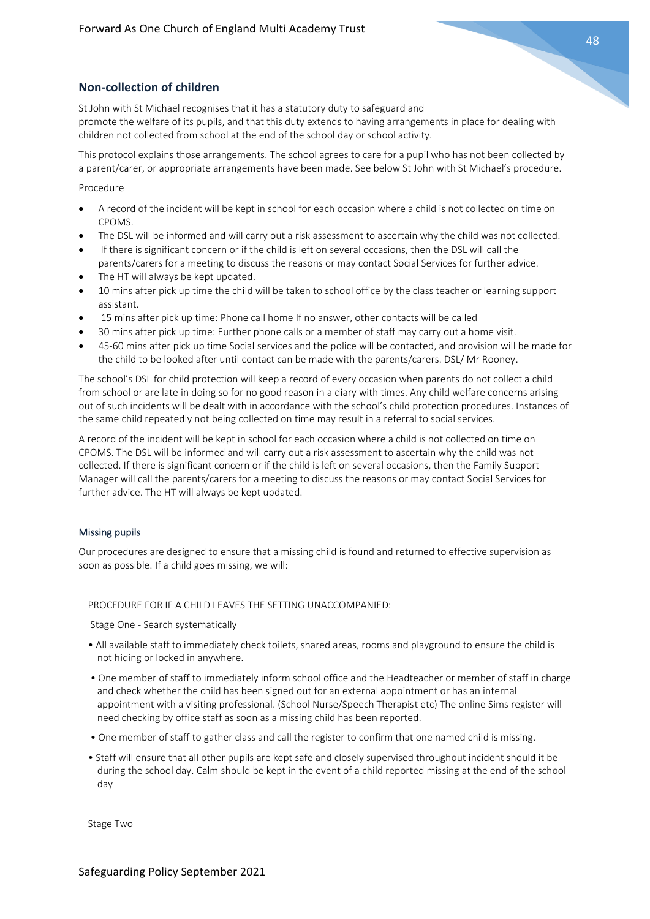### **Non-collection of children**

St John with St Michael recognises that it has a statutory duty to safeguard and promote the welfare of its pupils, and that this duty extends to having arrangements in place for dealing with children not collected from school at the end of the school day or school activity.

This protocol explains those arrangements. The school agrees to care for a pupil who has not been collected by a parent/carer, or appropriate arrangements have been made. See below St John with St Michael's procedure.

#### Procedure

- A record of the incident will be kept in school for each occasion where a child is not collected on time on CPOMS.
- The DSL will be informed and will carry out a risk assessment to ascertain why the child was not collected.
- If there is significant concern or if the child is left on several occasions, then the DSL will call the parents/carers for a meeting to discuss the reasons or may contact Social Services for further advice.
- The HT will always be kept updated.
- 10 mins after pick up time the child will be taken to school office by the class teacher or learning support assistant.
- 15 mins after pick up time: Phone call home If no answer, other contacts will be called
- 30 mins after pick up time: Further phone calls or a member of staff may carry out a home visit.
- 45-60 mins after pick up time Social services and the police will be contacted, and provision will be made for the child to be looked after until contact can be made with the parents/carers. DSL/ Mr Rooney.

The school's DSL for child protection will keep a record of every occasion when parents do not collect a child from school or are late in doing so for no good reason in a diary with times. Any child welfare concerns arising out of such incidents will be dealt with in accordance with the school's child protection procedures. Instances of the same child repeatedly not being collected on time may result in a referral to social services.

A record of the incident will be kept in school for each occasion where a child is not collected on time on CPOMS. The DSL will be informed and will carry out a risk assessment to ascertain why the child was not collected. If there is significant concern or if the child is left on several occasions, then the Family Support Manager will call the parents/carers for a meeting to discuss the reasons or may contact Social Services for further advice. The HT will always be kept updated.

#### Missing pupils

Our procedures are designed to ensure that a missing child is found and returned to effective supervision as soon as possible. If a child goes missing, we will:

#### PROCEDURE FOR IF A CHILD LEAVES THE SETTING UNACCOMPANIED:

Stage One - Search systematically

- All available staff to immediately check toilets, shared areas, rooms and playground to ensure the child is not hiding or locked in anywhere.
- One member of staff to immediately inform school office and the Headteacher or member of staff in charge and check whether the child has been signed out for an external appointment or has an internal appointment with a visiting professional. (School Nurse/Speech Therapist etc) The online Sims register will need checking by office staff as soon as a missing child has been reported.
- One member of staff to gather class and call the register to confirm that one named child is missing.
- Staff will ensure that all other pupils are kept safe and closely supervised throughout incident should it be during the school day. Calm should be kept in the event of a child reported missing at the end of the school day

Stage Two